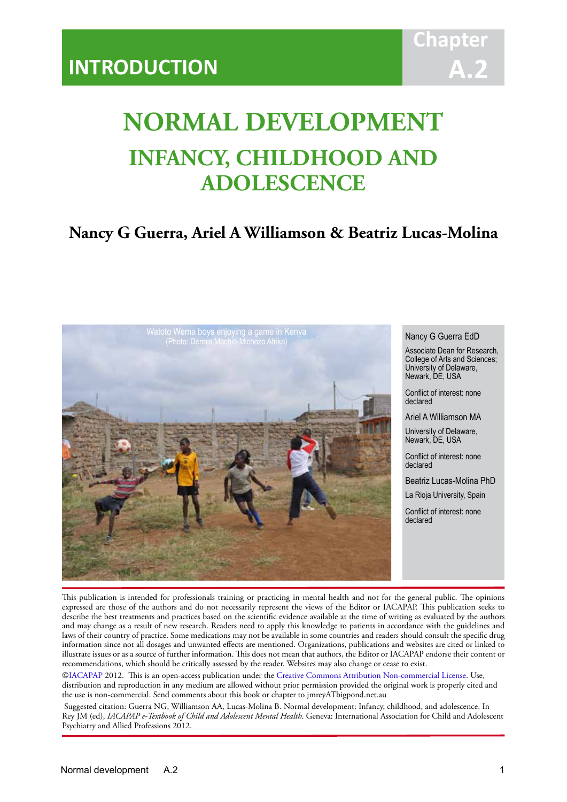# **Chapt A.2**

# **NORMAL DEVELOPMENT INFANCY, CHILDHOOD AND ADOLESCENCE**

IACAPAP Textbook of Child and Adolescent Mental Health

# **Nancy G Guerra, Ariel A Williamson & Beatriz Lucas-Molina**



#### Nancy G Guerra EdD

Associate Dean for Research, College of Arts and Sciences; University of Delaware, Newark, DE, USA

Conflict of interest: none declared

Ariel A Williamson MA

University of Delaware, Newark, DE, USA

Conflict of interest: none declared

Beatriz Lucas-Molina PhD La Rioja University, Spain

Conflict of interest: none declared

This publication is intended for professionals training or practicing in mental health and not for the general public. The opinions expressed are those of the authors and do not necessarily represent the views of the Editor or IACAPAP. This publication seeks to describe the best treatments and practices based on the scientific evidence available at the time of writing as evaluated by the authors and may change as a result of new research. Readers need to apply this knowledge to patients in accordance with the guidelines and laws of their country of practice. Some medications may not be available in some countries and readers should consult the specific drug information since not all dosages and unwanted effects are mentioned. Organizations, publications and websites are cited or linked to illustrate issues or as a source of further information. This does not mean that authors, the Editor or IACAPAP endorse their content or recommendations, which should be critically assessed by the reader. Websites may also change or cease to exist.

[©IACAPAP](http://iacapap.org/) 2012. This is an open-access publication under the [Creative Commons Attribution Non-commercial License](http://creativecommons.org/licenses/by-nc/2.0/). Use, distribution and reproduction in any medium are allowed without prior permission provided the original work is properly cited and the use is non-commercial. Send comments about this book or chapter to jmreyATbigpond.net.au

 Suggested citation: Guerra NG, Williamson AA, Lucas-Molina B. Normal development: Infancy, childhood, and adolescence. In Rey JM (ed), *IACAPAP e-Textbook of Child and Adolescent Mental Health*. Geneva: International Association for Child and Adolescent Psychiatry and Allied Professions 2012.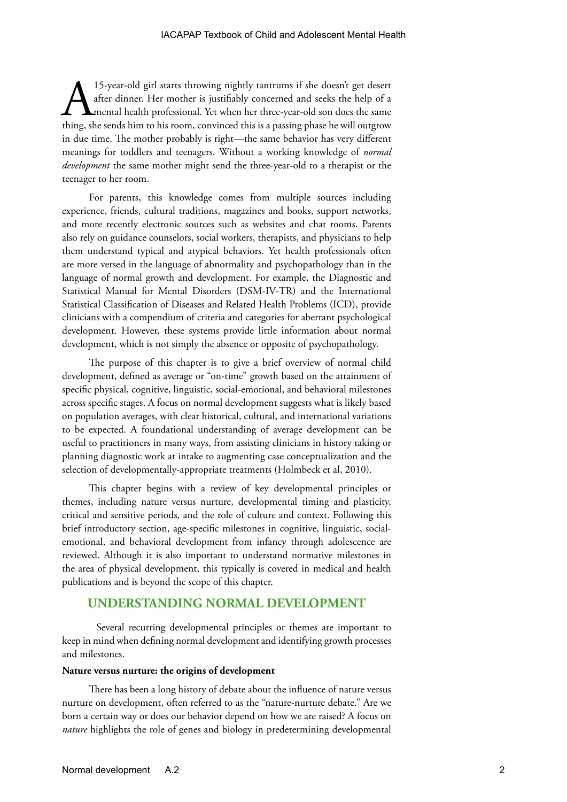15-year-old girl starts throwing nightly tantrums if she doesn't get desert<br>after dinner. Her mother is justifiably concerned and seeks the help of a<br>mental health professional. Yet when her three-year-old son does the sam after dinner. Her mother is justifiably concerned and seeks the help of a mental health professional. Yet when her three-year-old son does the same thing, she sends him to his room, convinced this is a passing phase he will outgrow in due time. The mother probably is right—the same behavior has very different meanings for toddlers and teenagers. Without a working knowledge of *normal development* the same mother might send the three-year-old to a therapist or the teenager to her room.

For parents, this knowledge comes from multiple sources including experience, friends, cultural traditions, magazines and books, support networks, and more recently electronic sources such as websites and chat rooms. Parents also rely on guidance counselors, social workers, therapists, and physicians to help them understand typical and atypical behaviors. Yet health professionals often are more versed in the language of abnormality and psychopathology than in the language of normal growth and development. For example, the Diagnostic and Statistical Manual for Mental Disorders (DSM-IV-TR) and the International Statistical Classification of Diseases and Related Health Problems (ICD), provide clinicians with a compendium of criteria and categories for aberrant psychological development. However, these systems provide little information about normal development, which is not simply the absence or opposite of psychopathology.

The purpose of this chapter is to give a brief overview of normal child development, defined as average or "on-time" growth based on the attainment of specific physical, cognitive, linguistic, social-emotional, and behavioral milestones across specific stages. A focus on normal development suggests what is likely based on population averages, with clear historical, cultural, and international variations to be expected. A foundational understanding of average development can be useful to practitioners in many ways, from assisting clinicians in history taking or planning diagnostic work at intake to augmenting case conceptualization and the selection of developmentally-appropriate treatments (Holmbeck et al, 2010).

This chapter begins with a review of key developmental principles or themes, including nature versus nurture, developmental timing and plasticity, critical and sensitive periods, and the role of culture and context. Following this brief introductory section, age-specific milestones in cognitive, linguistic, socialemotional, and behavioral development from infancy through adolescence are reviewed. Although it is also important to understand normative milestones in the area of physical development, this typically is covered in medical and health publications and is beyond the scope of this chapter.

### **UNDERSTANDING NORMAL DEVELOPMENT**

Several recurring developmental principles or themes are important to keep in mind when defining normal development and identifying growth processes and milestones.

#### **Nature versus nurture: the origins of development**

There has been a long history of debate about the influence of nature versus nurture on development, often referred to as the "nature-nurture debate." Are we born a certain way or does our behavior depend on how we are raised? A focus on *nature* highlights the role of genes and biology in predetermining developmental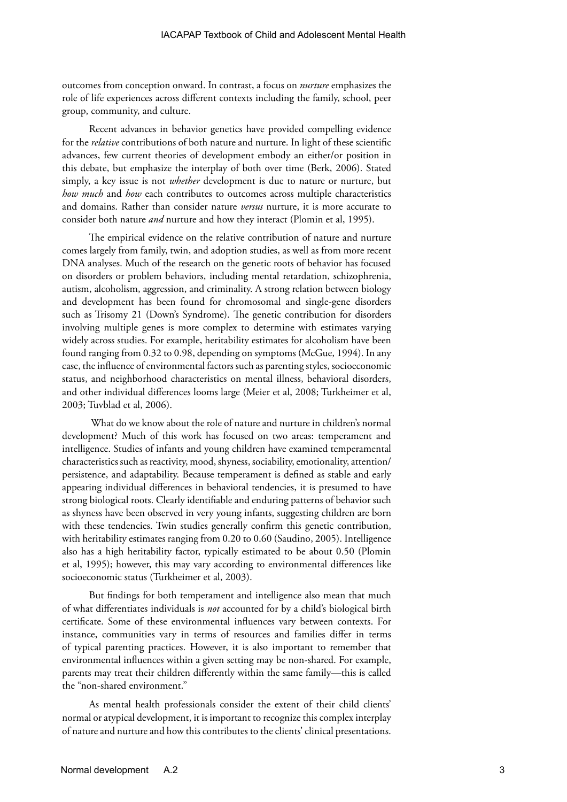outcomes from conception onward. In contrast, a focus on *nurture* emphasizes the role of life experiences across different contexts including the family, school, peer group, community, and culture.

Recent advances in behavior genetics have provided compelling evidence for the *relative* contributions of both nature and nurture. In light of these scientific advances, few current theories of development embody an either/or position in this debate, but emphasize the interplay of both over time (Berk, 2006). Stated simply, a key issue is not *whether* development is due to nature or nurture, but *how much* and *how* each contributes to outcomes across multiple characteristics and domains. Rather than consider nature *versus* nurture, it is more accurate to consider both nature *and* nurture and how they interact (Plomin et al, 1995).

The empirical evidence on the relative contribution of nature and nurture comes largely from family, twin, and adoption studies, as well as from more recent DNA analyses. Much of the research on the genetic roots of behavior has focused on disorders or problem behaviors, including mental retardation, schizophrenia, autism, alcoholism, aggression, and criminality. A strong relation between biology and development has been found for chromosomal and single-gene disorders such as Trisomy 21 (Down's Syndrome). The genetic contribution for disorders involving multiple genes is more complex to determine with estimates varying widely across studies. For example, heritability estimates for alcoholism have been found ranging from 0.32 to 0.98, depending on symptoms (McGue, 1994). In any case, the influence of environmental factors such as parenting styles, socioeconomic status, and neighborhood characteristics on mental illness, behavioral disorders, and other individual differences looms large (Meier et al, 2008; Turkheimer et al, 2003; Tuvblad et al, 2006).

 What do we know about the role of nature and nurture in children's normal development? Much of this work has focused on two areas: temperament and intelligence. Studies of infants and young children have examined temperamental characteristics such as reactivity, mood, shyness, sociability, emotionality, attention/ persistence, and adaptability. Because temperament is defined as stable and early appearing individual differences in behavioral tendencies, it is presumed to have strong biological roots. Clearly identifiable and enduring patterns of behavior such as shyness have been observed in very young infants, suggesting children are born with these tendencies. Twin studies generally confirm this genetic contribution, with heritability estimates ranging from 0.20 to 0.60 (Saudino, 2005). Intelligence also has a high heritability factor, typically estimated to be about 0.50 (Plomin et al, 1995); however, this may vary according to environmental differences like socioeconomic status (Turkheimer et al, 2003).

But findings for both temperament and intelligence also mean that much of what differentiates individuals is *not* accounted for by a child's biological birth certificate. Some of these environmental influences vary between contexts. For instance, communities vary in terms of resources and families differ in terms of typical parenting practices. However, it is also important to remember that environmental influences within a given setting may be non-shared. For example, parents may treat their children differently within the same family—this is called the "non-shared environment."

As mental health professionals consider the extent of their child clients' normal or atypical development, it is important to recognize this complex interplay of nature and nurture and how this contributes to the clients' clinical presentations.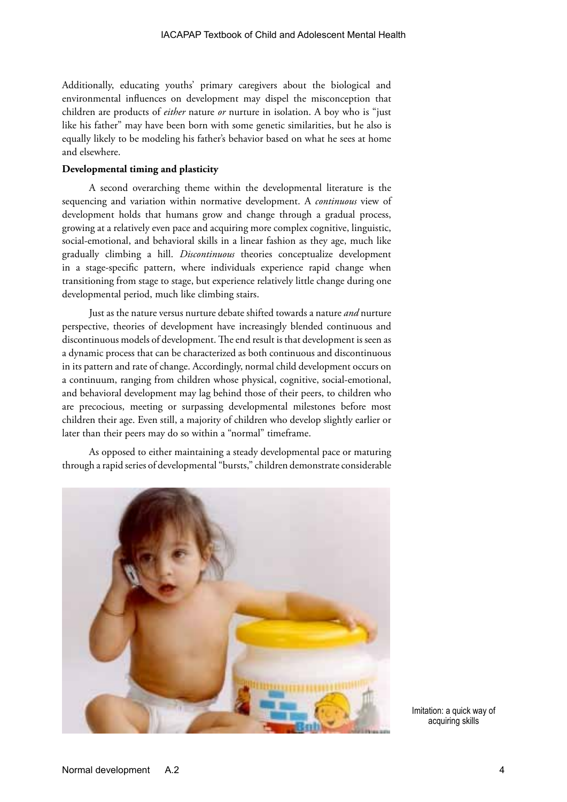Additionally, educating youths' primary caregivers about the biological and environmental influences on development may dispel the misconception that children are products of *either* nature *or* nurture in isolation. A boy who is "just like his father" may have been born with some genetic similarities, but he also is equally likely to be modeling his father's behavior based on what he sees at home and elsewhere.

#### **Developmental timing and plasticity**

A second overarching theme within the developmental literature is the sequencing and variation within normative development. A *continuous* view of development holds that humans grow and change through a gradual process, growing at a relatively even pace and acquiring more complex cognitive, linguistic, social-emotional, and behavioral skills in a linear fashion as they age, much like gradually climbing a hill. *Discontinuous* theories conceptualize development in a stage-specific pattern, where individuals experience rapid change when transitioning from stage to stage, but experience relatively little change during one developmental period, much like climbing stairs.

Just as the nature versus nurture debate shifted towards a nature *and* nurture perspective, theories of development have increasingly blended continuous and discontinuous models of development. The end result is that development is seen as a dynamic process that can be characterized as both continuous and discontinuous in its pattern and rate of change. Accordingly, normal child development occurs on a continuum, ranging from children whose physical, cognitive, social-emotional, and behavioral development may lag behind those of their peers, to children who are precocious, meeting or surpassing developmental milestones before most children their age. Even still, a majority of children who develop slightly earlier or later than their peers may do so within a "normal" timeframe.

As opposed to either maintaining a steady developmental pace or maturing through a rapid series of developmental "bursts," children demonstrate considerable



Imitation: a quick way of acquiring skills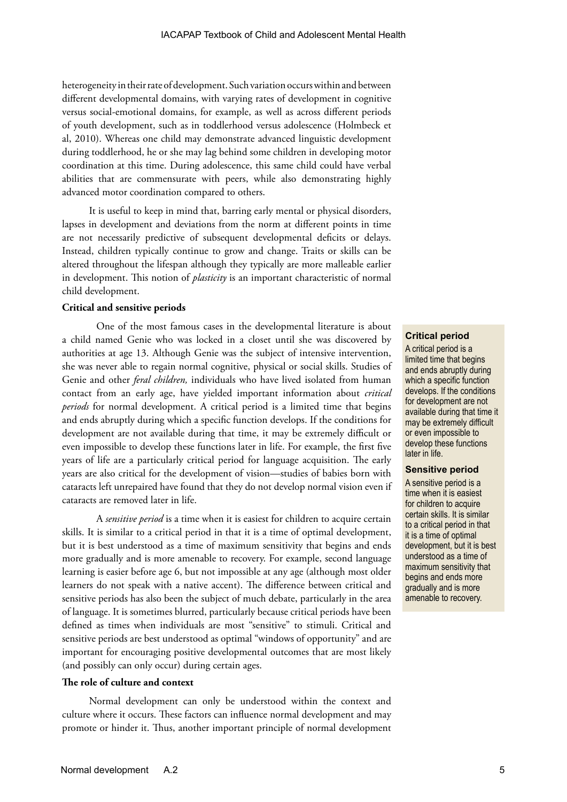heterogeneity in their rate of development. Such variation occurs within and between different developmental domains, with varying rates of development in cognitive versus social-emotional domains, for example, as well as across different periods of youth development, such as in toddlerhood versus adolescence (Holmbeck et al, 2010). Whereas one child may demonstrate advanced linguistic development during toddlerhood, he or she may lag behind some children in developing motor coordination at this time. During adolescence, this same child could have verbal abilities that are commensurate with peers, while also demonstrating highly advanced motor coordination compared to others.

It is useful to keep in mind that, barring early mental or physical disorders, lapses in development and deviations from the norm at different points in time are not necessarily predictive of subsequent developmental deficits or delays. Instead, children typically continue to grow and change. Traits or skills can be altered throughout the lifespan although they typically are more malleable earlier in development. This notion of *plasticity* is an important characteristic of normal child development.

#### **Critical and sensitive periods**

One of the most famous cases in the developmental literature is about a child named Genie who was locked in a closet until she was discovered by authorities at age 13. Although Genie was the subject of intensive intervention, she was never able to regain normal cognitive, physical or social skills. Studies of Genie and other *feral children,* individuals who have lived isolated from human contact from an early age, have yielded important information about *critical periods* for normal development. A critical period is a limited time that begins and ends abruptly during which a specific function develops. If the conditions for development are not available during that time, it may be extremely difficult or even impossible to develop these functions later in life. For example, the first five years of life are a particularly critical period for language acquisition. The early years are also critical for the development of vision—studies of babies born with cataracts left unrepaired have found that they do not develop normal vision even if cataracts are removed later in life.

A *sensitive period* is a time when it is easiest for children to acquire certain skills. It is similar to a critical period in that it is a time of optimal development, but it is best understood as a time of maximum sensitivity that begins and ends more gradually and is more amenable to recovery. For example, second language learning is easier before age 6, but not impossible at any age (although most older learners do not speak with a native accent). The difference between critical and sensitive periods has also been the subject of much debate, particularly in the area of language. It is sometimes blurred, particularly because critical periods have been defined as times when individuals are most "sensitive" to stimuli. Critical and sensitive periods are best understood as optimal "windows of opportunity" and are important for encouraging positive developmental outcomes that are most likely (and possibly can only occur) during certain ages.

#### **The role of culture and context**

Normal development can only be understood within the context and culture where it occurs. These factors can influence normal development and may promote or hinder it. Thus, another important principle of normal development

#### **Critical period**

A critical period is a limited time that begins and ends abruptly during which a specific function develops. If the conditions for development are not available during that time it may be extremely difficult or even impossible to develop these functions later in life.

#### **Sensitive period**

A sensitive period is a time when it is easiest for children to acquire certain skills. It is similar to a critical period in that it is a time of optimal development, but it is best understood as a time of maximum sensitivity that begins and ends more gradually and is more amenable to recovery.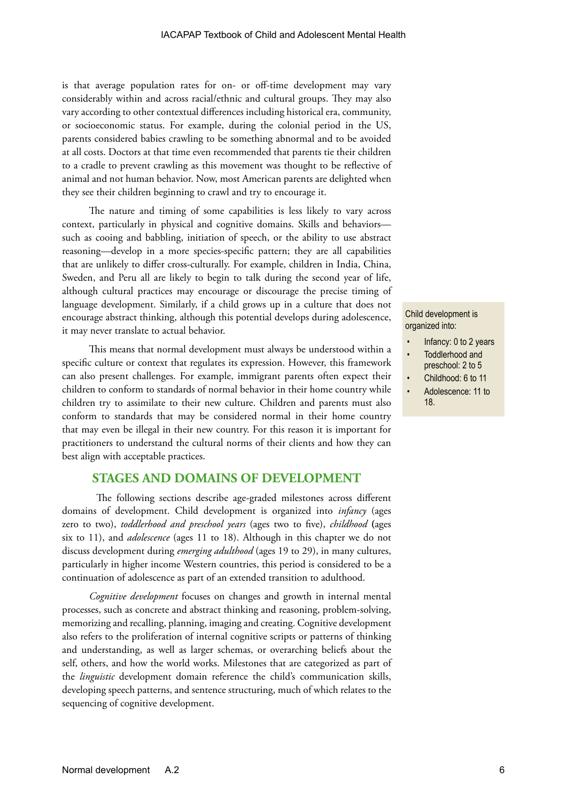is that average population rates for on- or off-time development may vary considerably within and across racial/ethnic and cultural groups. They may also vary according to other contextual differences including historical era, community, or socioeconomic status. For example, during the colonial period in the US, parents considered babies crawling to be something abnormal and to be avoided at all costs. Doctors at that time even recommended that parents tie their children to a cradle to prevent crawling as this movement was thought to be reflective of animal and not human behavior. Now, most American parents are delighted when they see their children beginning to crawl and try to encourage it.

The nature and timing of some capabilities is less likely to vary across context, particularly in physical and cognitive domains. Skills and behaviors such as cooing and babbling, initiation of speech, or the ability to use abstract reasoning—develop in a more species-specific pattern; they are all capabilities that are unlikely to differ cross-culturally. For example, children in India, China, Sweden, and Peru all are likely to begin to talk during the second year of life, although cultural practices may encourage or discourage the precise timing of language development. Similarly, if a child grows up in a culture that does not encourage abstract thinking, although this potential develops during adolescence, it may never translate to actual behavior.

This means that normal development must always be understood within a specific culture or context that regulates its expression. However, this framework can also present challenges. For example, immigrant parents often expect their children to conform to standards of normal behavior in their home country while children try to assimilate to their new culture. Children and parents must also conform to standards that may be considered normal in their home country that may even be illegal in their new country. For this reason it is important for practitioners to understand the cultural norms of their clients and how they can best align with acceptable practices.

### **STAGES AND DOMAINS OF DEVELOPMENT**

The following sections describe age-graded milestones across different domains of development. Child development is organized into *infancy* (ages zero to two), *toddlerhood and preschool years* (ages two to five), *childhood* **(**ages six to 11), and *adolescence* (ages 11 to 18). Although in this chapter we do not discuss development during *emerging adulthood* (ages 19 to 29), in many cultures, particularly in higher income Western countries, this period is considered to be a continuation of adolescence as part of an extended transition to adulthood.

*Cognitive development* focuses on changes and growth in internal mental processes, such as concrete and abstract thinking and reasoning, problem-solving, memorizing and recalling, planning, imaging and creating. Cognitive development also refers to the proliferation of internal cognitive scripts or patterns of thinking and understanding, as well as larger schemas, or overarching beliefs about the self, others, and how the world works. Milestones that are categorized as part of the *linguistic* development domain reference the child's communication skills, developing speech patterns, and sentence structuring, much of which relates to the sequencing of cognitive development.

#### Child development is organized into:

- Infancy: 0 to 2 years
- Toddlerhood and preschool: 2 to 5
- Childhood: 6 to 11
- Adolescence: 11 to 18.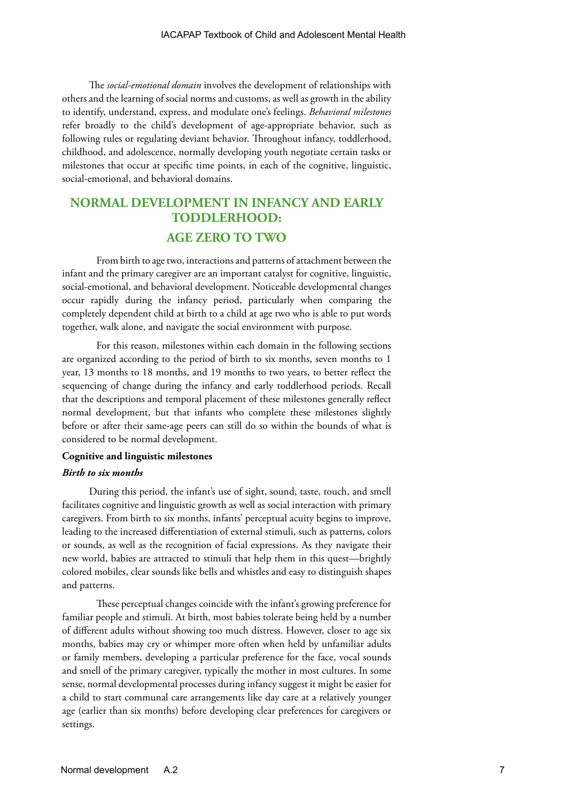The *social-emotional domain* involves the development of relationships with others and the learning of social norms and customs, as well as growth in the ability to identify, understand, express, and modulate one's feelings. *Behavioral milestones* refer broadly to the child's development of age-appropriate behavior, such as following rules or regulating deviant behavior. Throughout infancy, toddlerhood, childhood, and adolescence, normally developing youth negotiate certain tasks or milestones that occur at specific time points, in each of the cognitive, linguistic, social-emotional, and behavioral domains.

# **NORMAL DEVELOPMENT IN INFANCY AND EARLY TODDLERHOOD: AGE ZERO TO TWO**

From birth to age two, interactions and patterns of attachment between the infant and the primary caregiver are an important catalyst for cognitive, linguistic, social-emotional, and behavioral development. Noticeable developmental changes occur rapidly during the infancy period, particularly when comparing the completely dependent child at birth to a child at age two who is able to put words together, walk alone, and navigate the social environment with purpose.

For this reason, milestones within each domain in the following sections are organized according to the period of birth to six months, seven months to 1 year, 13 months to 18 months, and 19 months to two years, to better reflect the sequencing of change during the infancy and early toddlerhood periods. Recall that the descriptions and temporal placement of these milestones generally reflect normal development, but that infants who complete these milestones slightly before or after their same-age peers can still do so within the bounds of what is considered to be normal development.

#### **Cognitive and linguistic milestones**

#### *Birth to six months*

During this period, the infant's use of sight, sound, taste, touch, and smell facilitates cognitive and linguistic growth as well as social interaction with primary caregivers. From birth to six months, infants' perceptual acuity begins to improve, leading to the increased differentiation of external stimuli, such as patterns, colors or sounds, as well as the recognition of facial expressions. As they navigate their new world, babies are attracted to stimuli that help them in this quest—brightly colored mobiles, clear sounds like bells and whistles and easy to distinguish shapes and patterns.

These perceptual changes coincide with the infant's growing preference for familiar people and stimuli. At birth, most babies tolerate being held by a number of different adults without showing too much distress. However, closer to age six months, babies may cry or whimper more often when held by unfamiliar adults or family members, developing a particular preference for the face, vocal sounds and smell of the primary caregiver, typically the mother in most cultures. In some sense, normal developmental processes during infancy suggest it might be easier for a child to start communal care arrangements like day care at a relatively younger age (earlier than six months) before developing clear preferences for caregivers or settings.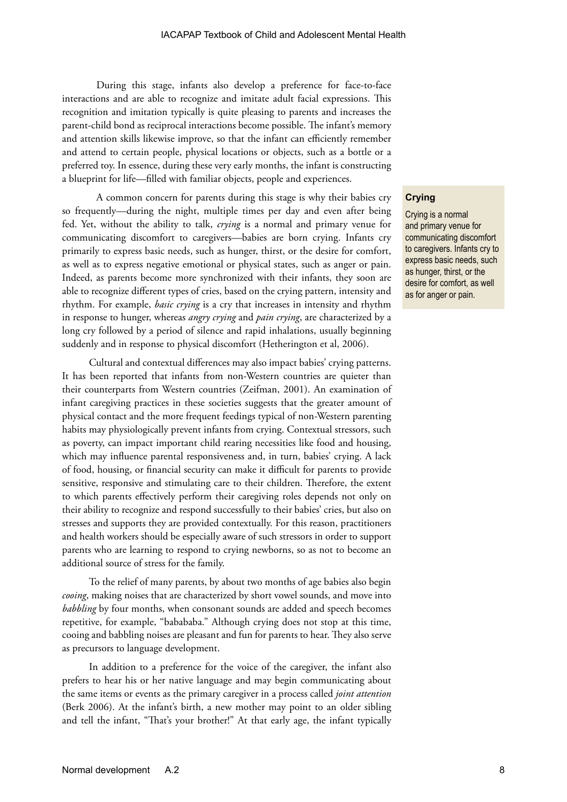During this stage, infants also develop a preference for face-to-face interactions and are able to recognize and imitate adult facial expressions. This recognition and imitation typically is quite pleasing to parents and increases the parent-child bond as reciprocal interactions become possible. The infant's memory and attention skills likewise improve, so that the infant can efficiently remember and attend to certain people, physical locations or objects, such as a bottle or a preferred toy. In essence, during these very early months, the infant is constructing a blueprint for life—filled with familiar objects, people and experiences.

A common concern for parents during this stage is why their babies cry so frequently—during the night, multiple times per day and even after being fed. Yet, without the ability to talk, *crying* is a normal and primary venue for communicating discomfort to caregivers—babies are born crying. Infants cry primarily to express basic needs, such as hunger, thirst, or the desire for comfort, as well as to express negative emotional or physical states, such as anger or pain. Indeed, as parents become more synchronized with their infants, they soon are able to recognize different types of cries, based on the crying pattern, intensity and rhythm. For example, *basic crying* is a cry that increases in intensity and rhythm in response to hunger, whereas *angry crying* and *pain crying*, are characterized by a long cry followed by a period of silence and rapid inhalations, usually beginning suddenly and in response to physical discomfort (Hetherington et al, 2006).

Cultural and contextual differences may also impact babies' crying patterns. It has been reported that infants from non-Western countries are quieter than their counterparts from Western countries (Zeifman, 2001). An examination of infant caregiving practices in these societies suggests that the greater amount of physical contact and the more frequent feedings typical of non-Western parenting habits may physiologically prevent infants from crying. Contextual stressors, such as poverty, can impact important child rearing necessities like food and housing, which may influence parental responsiveness and, in turn, babies' crying. A lack of food, housing, or financial security can make it difficult for parents to provide sensitive, responsive and stimulating care to their children. Therefore, the extent to which parents effectively perform their caregiving roles depends not only on their ability to recognize and respond successfully to their babies' cries, but also on stresses and supports they are provided contextually. For this reason, practitioners and health workers should be especially aware of such stressors in order to support parents who are learning to respond to crying newborns, so as not to become an additional source of stress for the family.

To the relief of many parents, by about two months of age babies also begin *cooing*, making noises that are characterized by short vowel sounds, and move into *babbling* by four months, when consonant sounds are added and speech becomes repetitive, for example, "babababa." Although crying does not stop at this time, cooing and babbling noises are pleasant and fun for parents to hear. They also serve as precursors to language development.

In addition to a preference for the voice of the caregiver, the infant also prefers to hear his or her native language and may begin communicating about the same items or events as the primary caregiver in a process called *joint attention* (Berk 2006). At the infant's birth, a new mother may point to an older sibling and tell the infant, "That's your brother!" At that early age, the infant typically

#### **Crying**

Crying is a normal and primary venue for communicating discomfort to caregivers. Infants cry to express basic needs, such as hunger, thirst, or the desire for comfort, as well as for anger or pain.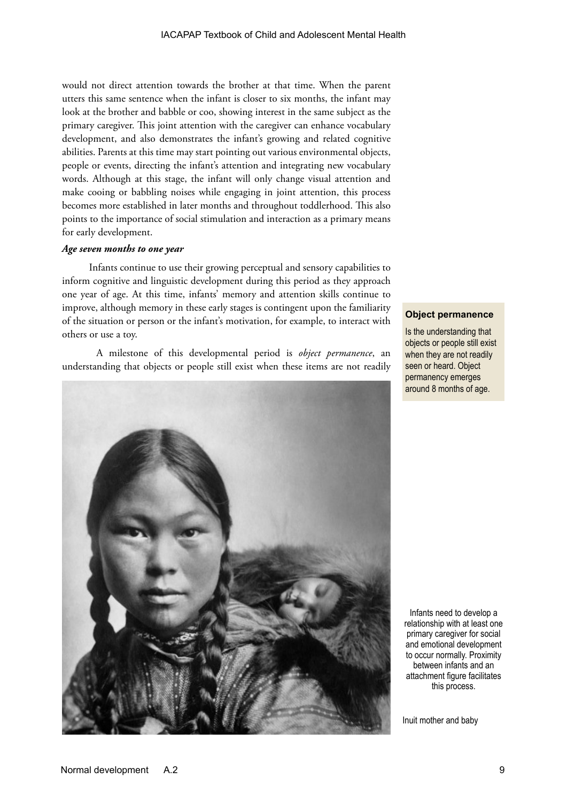would not direct attention towards the brother at that time. When the parent utters this same sentence when the infant is closer to six months, the infant may look at the brother and babble or coo, showing interest in the same subject as the primary caregiver. This joint attention with the caregiver can enhance vocabulary development, and also demonstrates the infant's growing and related cognitive abilities. Parents at this time may start pointing out various environmental objects, people or events, directing the infant's attention and integrating new vocabulary words. Although at this stage, the infant will only change visual attention and make cooing or babbling noises while engaging in joint attention, this process becomes more established in later months and throughout toddlerhood. This also points to the importance of social stimulation and interaction as a primary means for early development.

#### *Age seven months to one year*

Infants continue to use their growing perceptual and sensory capabilities to inform cognitive and linguistic development during this period as they approach one year of age. At this time, infants' memory and attention skills continue to improve, although memory in these early stages is contingent upon the familiarity of the situation or person or the infant's motivation, for example, to interact with others or use a toy.

A milestone of this developmental period is *object permanence*, an understanding that objects or people still exist when these items are not readily



**Object permanence**

Is the understanding that objects or people still exist when they are not readily seen or heard. Object permanency emerges around 8 months of age.

Infants need to develop a relationship with at least one primary caregiver for social and emotional development to occur normally. Proximity between infants and an attachment figure facilitates this process.

Inuit mother and baby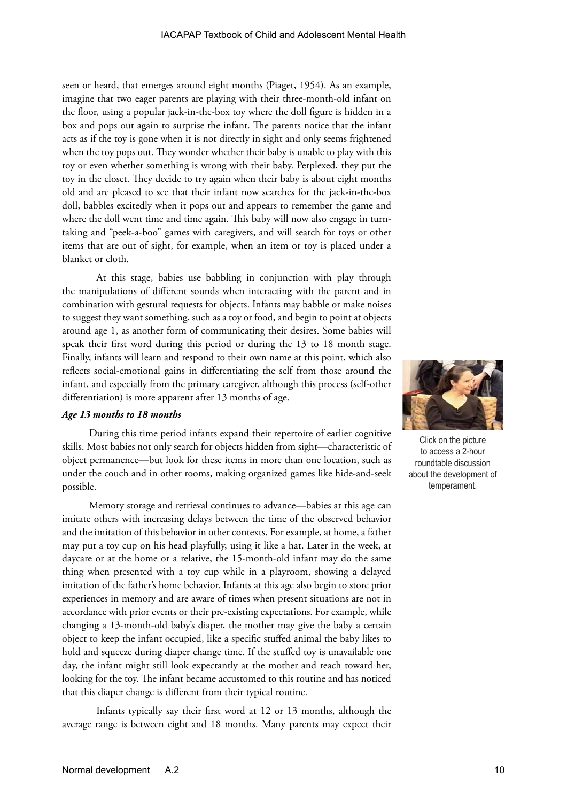seen or heard, that emerges around eight months (Piaget, 1954). As an example, imagine that two eager parents are playing with their three-month-old infant on the floor, using a popular jack-in-the-box toy where the doll figure is hidden in a box and pops out again to surprise the infant. The parents notice that the infant acts as if the toy is gone when it is not directly in sight and only seems frightened when the toy pops out. They wonder whether their baby is unable to play with this toy or even whether something is wrong with their baby. Perplexed, they put the toy in the closet. They decide to try again when their baby is about eight months old and are pleased to see that their infant now searches for the jack-in-the-box doll, babbles excitedly when it pops out and appears to remember the game and where the doll went time and time again. This baby will now also engage in turntaking and "peek-a-boo" games with caregivers, and will search for toys or other items that are out of sight, for example, when an item or toy is placed under a blanket or cloth.

At this stage, babies use babbling in conjunction with play through the manipulations of different sounds when interacting with the parent and in combination with gestural requests for objects. Infants may babble or make noises to suggest they want something, such as a toy or food, and begin to point at objects around age 1, as another form of communicating their desires. Some babies will speak their first word during this period or during the 13 to 18 month stage. Finally, infants will learn and respond to their own name at this point, which also reflects social-emotional gains in differentiating the self from those around the infant, and especially from the primary caregiver, although this process (self-other differentiation) is more apparent after 13 months of age.

#### *Age 13 months to 18 months*

During this time period infants expand their repertoire of earlier cognitive skills. Most babies not only search for objects hidden from sight—characteristic of object permanence—but look for these items in more than one location, such as under the couch and in other rooms, making organized games like hide-and-seek possible.

Memory storage and retrieval continues to advance—babies at this age can imitate others with increasing delays between the time of the observed behavior and the imitation of this behavior in other contexts. For example, at home, a father may put a toy cup on his head playfully, using it like a hat. Later in the week, at daycare or at the home or a relative, the 15-month-old infant may do the same thing when presented with a toy cup while in a playroom, showing a delayed imitation of the father's home behavior. Infants at this age also begin to store prior experiences in memory and are aware of times when present situations are not in accordance with prior events or their pre-existing expectations. For example, while changing a 13-month-old baby's diaper, the mother may give the baby a certain object to keep the infant occupied, like a specific stuffed animal the baby likes to hold and squeeze during diaper change time. If the stuffed toy is unavailable one day, the infant might still look expectantly at the mother and reach toward her, looking for the toy. The infant became accustomed to this routine and has noticed that this diaper change is different from their typical routine.

Infants typically say their first word at 12 or 13 months, although the average range is between eight and 18 months. Many parents may expect their



Click on the picture to access a 2-hour roundtable discussion about the development of temperament.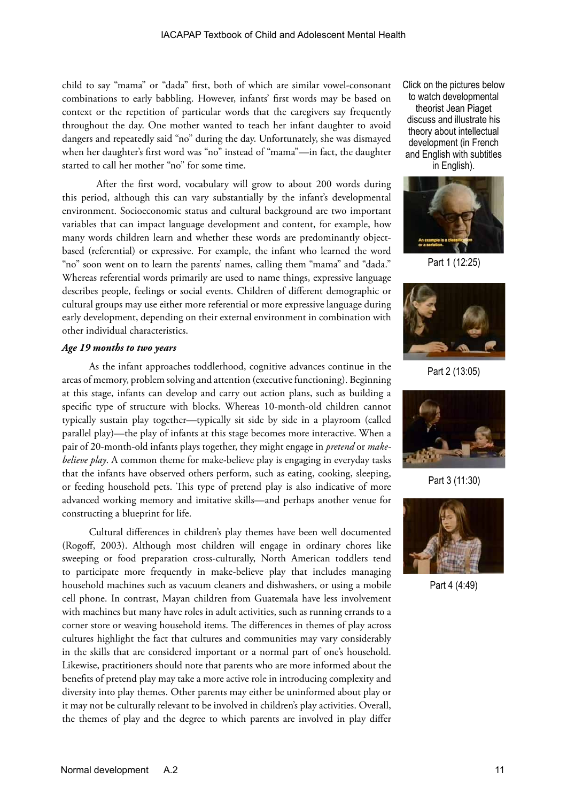child to say "mama" or "dada" first, both of which are similar vowel-consonant combinations to early babbling. However, infants' first words may be based on context or the repetition of particular words that the caregivers say frequently throughout the day. One mother wanted to teach her infant daughter to avoid dangers and repeatedly said "no" during the day. Unfortunately, she was dismayed when her daughter's first word was "no" instead of "mama"—in fact, the daughter started to call her mother "no" for some time.

After the first word, vocabulary will grow to about 200 words during this period, although this can vary substantially by the infant's developmental environment. Socioeconomic status and cultural background are two important variables that can impact language development and content, for example, how many words children learn and whether these words are predominantly objectbased (referential) or expressive. For example, the infant who learned the word "no" soon went on to learn the parents' names, calling them "mama" and "dada." Whereas referential words primarily are used to name things, expressive language describes people, feelings or social events. Children of different demographic or cultural groups may use either more referential or more expressive language during early development, depending on their external environment in combination with other individual characteristics.

#### *Age 19 months to two years*

As the infant approaches toddlerhood, cognitive advances continue in the areas of memory, problem solving and attention (executive functioning). Beginning at this stage, infants can develop and carry out action plans, such as building a specific type of structure with blocks. Whereas 10-month-old children cannot typically sustain play together—typically sit side by side in a playroom (called parallel play)—the play of infants at this stage becomes more interactive. When a pair of 20-month-old infants plays together, they might engage in *pretend* or *makebelieve play*. A common theme for make-believe play is engaging in everyday tasks that the infants have observed others perform, such as eating, cooking, sleeping, or feeding household pets. This type of pretend play is also indicative of more advanced working memory and imitative skills—and perhaps another venue for constructing a blueprint for life.

Cultural differences in children's play themes have been well documented (Rogoff, 2003). Although most children will engage in ordinary chores like sweeping or food preparation cross-culturally, North American toddlers tend to participate more frequently in make-believe play that includes managing household machines such as vacuum cleaners and dishwashers, or using a mobile cell phone. In contrast, Mayan children from Guatemala have less involvement with machines but many have roles in adult activities, such as running errands to a corner store or weaving household items. The differences in themes of play across cultures highlight the fact that cultures and communities may vary considerably in the skills that are considered important or a normal part of one's household. Likewise, practitioners should note that parents who are more informed about the benefits of pretend play may take a more active role in introducing complexity and diversity into play themes. Other parents may either be uninformed about play or it may not be culturally relevant to be involved in children's play activities. Overall, the themes of play and the degree to which parents are involved in play differ

Click on the pictures below to watch developmental theorist Jean Piaget discuss and illustrate his theory about intellectual development (in French and English with subtitles in English).



Part 1 (12:25)



Part 2 (13:05)



Part 3 (11:30)



Part 4 (4:49)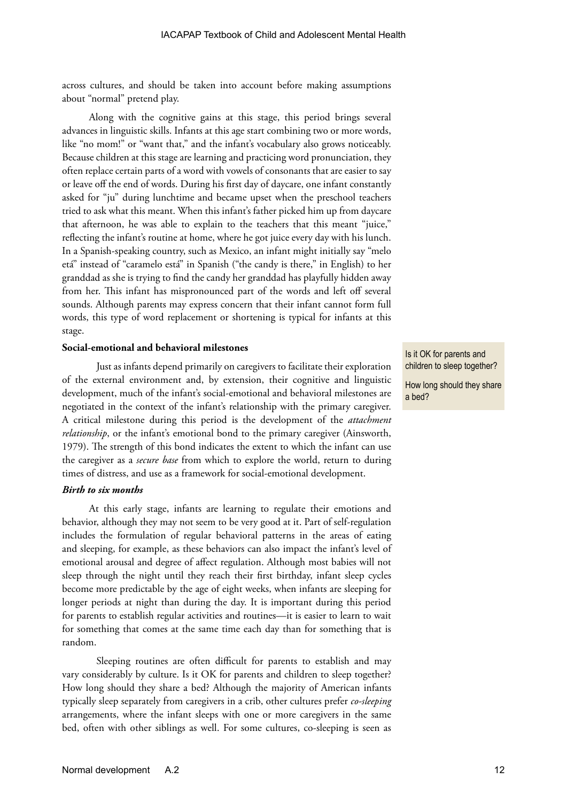across cultures, and should be taken into account before making assumptions about "normal" pretend play.

Along with the cognitive gains at this stage, this period brings several advances in linguistic skills. Infants at this age start combining two or more words, like "no mom!" or "want that," and the infant's vocabulary also grows noticeably. Because children at this stage are learning and practicing word pronunciation, they often replace certain parts of a word with vowels of consonants that are easier to say or leave off the end of words. During his first day of daycare, one infant constantly asked for "ju" during lunchtime and became upset when the preschool teachers tried to ask what this meant. When this infant's father picked him up from daycare that afternoon, he was able to explain to the teachers that this meant "juice," reflecting the infant's routine at home, where he got juice every day with his lunch. In a Spanish-speaking country, such as Mexico, an infant might initially say "melo etá" instead of "caramelo está" in Spanish ("the candy is there," in English) to her granddad as she is trying to find the candy her granddad has playfully hidden away from her. This infant has mispronounced part of the words and left off several sounds. Although parents may express concern that their infant cannot form full words, this type of word replacement or shortening is typical for infants at this stage.

#### **Social-emotional and behavioral milestones**

Just as infants depend primarily on caregivers to facilitate their exploration of the external environment and, by extension, their cognitive and linguistic development, much of the infant's social-emotional and behavioral milestones are negotiated in the context of the infant's relationship with the primary caregiver. A critical milestone during this period is the development of the *attachment relationship*, or the infant's emotional bond to the primary caregiver (Ainsworth, 1979). The strength of this bond indicates the extent to which the infant can use the caregiver as a *secure base* from which to explore the world, return to during times of distress, and use as a framework for social-emotional development.

#### *Birth to six months*

At this early stage, infants are learning to regulate their emotions and behavior, although they may not seem to be very good at it. Part of self-regulation includes the formulation of regular behavioral patterns in the areas of eating and sleeping, for example, as these behaviors can also impact the infant's level of emotional arousal and degree of affect regulation. Although most babies will not sleep through the night until they reach their first birthday, infant sleep cycles become more predictable by the age of eight weeks, when infants are sleeping for longer periods at night than during the day. It is important during this period for parents to establish regular activities and routines—it is easier to learn to wait for something that comes at the same time each day than for something that is random.

Sleeping routines are often difficult for parents to establish and may vary considerably by culture. Is it OK for parents and children to sleep together? How long should they share a bed? Although the majority of American infants typically sleep separately from caregivers in a crib, other cultures prefer *co-sleeping* arrangements, where the infant sleeps with one or more caregivers in the same bed, often with other siblings as well. For some cultures, co-sleeping is seen as

Is it OK for parents and children to sleep together?

How long should they share a bed?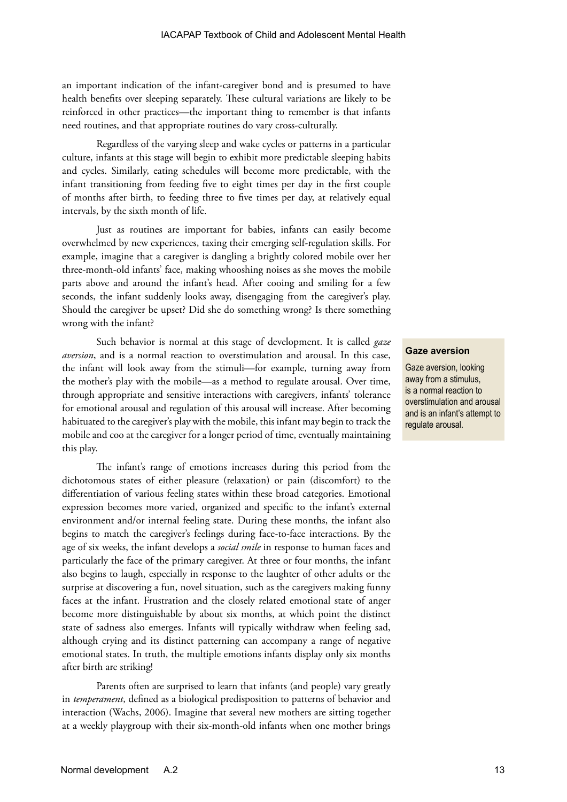an important indication of the infant-caregiver bond and is presumed to have health benefits over sleeping separately. These cultural variations are likely to be reinforced in other practices—the important thing to remember is that infants need routines, and that appropriate routines do vary cross-culturally.

Regardless of the varying sleep and wake cycles or patterns in a particular culture, infants at this stage will begin to exhibit more predictable sleeping habits and cycles. Similarly, eating schedules will become more predictable, with the infant transitioning from feeding five to eight times per day in the first couple of months after birth, to feeding three to five times per day, at relatively equal intervals, by the sixth month of life.

Just as routines are important for babies, infants can easily become overwhelmed by new experiences, taxing their emerging self-regulation skills. For example, imagine that a caregiver is dangling a brightly colored mobile over her three-month-old infants' face, making whooshing noises as she moves the mobile parts above and around the infant's head. After cooing and smiling for a few seconds, the infant suddenly looks away, disengaging from the caregiver's play. Should the caregiver be upset? Did she do something wrong? Is there something wrong with the infant?

Such behavior is normal at this stage of development. It is called *gaze aversion*, and is a normal reaction to overstimulation and arousal. In this case, the infant will look away from the stimuli—for example, turning away from the mother's play with the mobile—as a method to regulate arousal. Over time, through appropriate and sensitive interactions with caregivers, infants' tolerance for emotional arousal and regulation of this arousal will increase. After becoming habituated to the caregiver's play with the mobile, this infant may begin to track the mobile and coo at the caregiver for a longer period of time, eventually maintaining this play.

The infant's range of emotions increases during this period from the dichotomous states of either pleasure (relaxation) or pain (discomfort) to the differentiation of various feeling states within these broad categories. Emotional expression becomes more varied, organized and specific to the infant's external environment and/or internal feeling state. During these months, the infant also begins to match the caregiver's feelings during face-to-face interactions. By the age of six weeks, the infant develops a *social smile* in response to human faces and particularly the face of the primary caregiver. At three or four months, the infant also begins to laugh, especially in response to the laughter of other adults or the surprise at discovering a fun, novel situation, such as the caregivers making funny faces at the infant. Frustration and the closely related emotional state of anger become more distinguishable by about six months, at which point the distinct state of sadness also emerges. Infants will typically withdraw when feeling sad, although crying and its distinct patterning can accompany a range of negative emotional states. In truth, the multiple emotions infants display only six months after birth are striking!

Parents often are surprised to learn that infants (and people) vary greatly in *temperament*, defined as a biological predisposition to patterns of behavior and interaction (Wachs, 2006). Imagine that several new mothers are sitting together at a weekly playgroup with their six-month-old infants when one mother brings

#### **Gaze aversion**

Gaze aversion, looking away from a stimulus, is a normal reaction to overstimulation and arousal and is an infant's attempt to regulate arousal.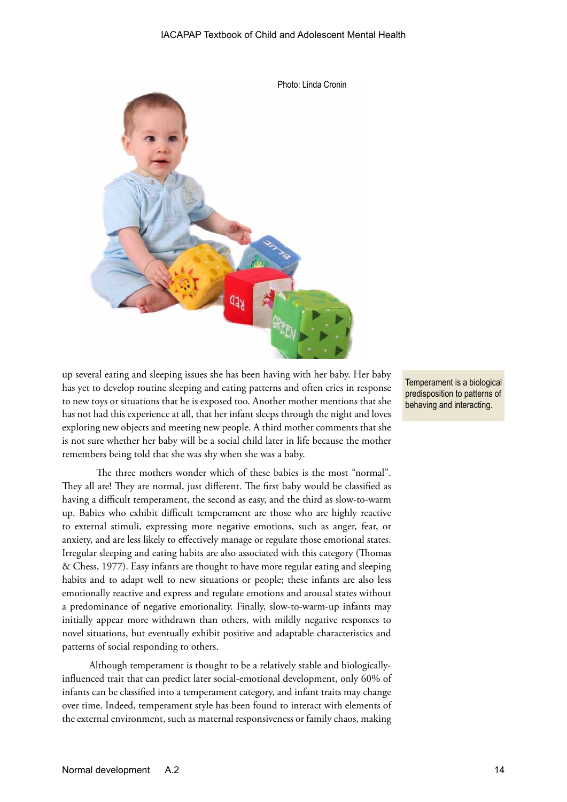

up several eating and sleeping issues she has been having with her baby. Her baby has yet to develop routine sleeping and eating patterns and often cries in response to new toys or situations that he is exposed too. Another mother mentions that she has not had this experience at all, that her infant sleeps through the night and loves exploring new objects and meeting new people. A third mother comments that she is not sure whether her baby will be a social child later in life because the mother remembers being told that she was shy when she was a baby.

The three mothers wonder which of these babies is the most "normal". They all are! They are normal, just different. The first baby would be classified as having a difficult temperament, the second as easy, and the third as slow-to-warm up. Babies who exhibit difficult temperament are those who are highly reactive to external stimuli, expressing more negative emotions, such as anger, fear, or anxiety, and are less likely to effectively manage or regulate those emotional states. Irregular sleeping and eating habits are also associated with this category (Thomas & Chess, 1977). Easy infants are thought to have more regular eating and sleeping habits and to adapt well to new situations or people; these infants are also less emotionally reactive and express and regulate emotions and arousal states without a predominance of negative emotionality. Finally, slow-to-warm-up infants may initially appear more withdrawn than others, with mildly negative responses to novel situations, but eventually exhibit positive and adaptable characteristics and patterns of social responding to others.

Although temperament is thought to be a relatively stable and biologicallyinfluenced trait that can predict later social-emotional development, only 60% of infants can be classified into a temperament category, and infant traits may change over time. Indeed, temperament style has been found to interact with elements of the external environment, such as maternal responsiveness or family chaos, making

Temperament is a biological predisposition to patterns of behaving and interacting.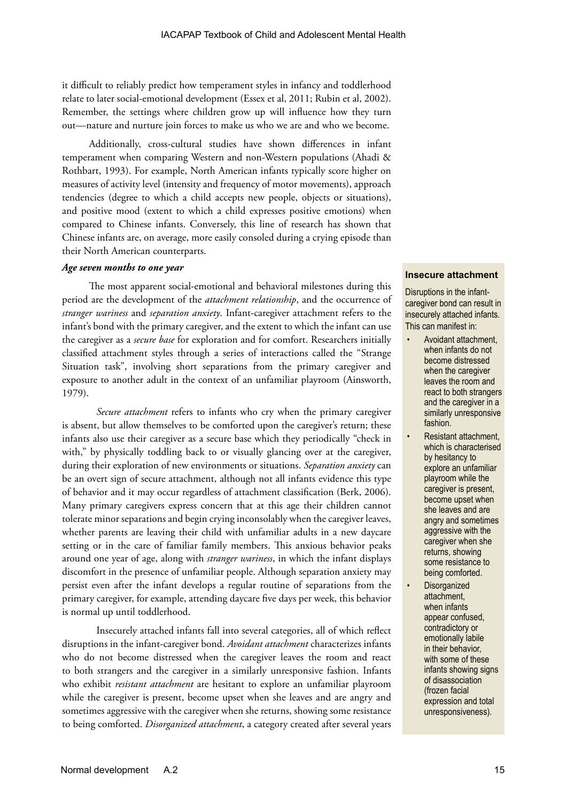it difficult to reliably predict how temperament styles in infancy and toddlerhood relate to later social-emotional development (Essex et al, 2011; Rubin et al, 2002). Remember, the settings where children grow up will influence how they turn out—nature and nurture join forces to make us who we are and who we become.

Additionally, cross-cultural studies have shown differences in infant temperament when comparing Western and non-Western populations (Ahadi & Rothbart, 1993). For example, North American infants typically score higher on measures of activity level (intensity and frequency of motor movements), approach tendencies (degree to which a child accepts new people, objects or situations), and positive mood (extent to which a child expresses positive emotions) when compared to Chinese infants. Conversely, this line of research has shown that Chinese infants are, on average, more easily consoled during a crying episode than their North American counterparts.

#### *Age seven months to one year*

The most apparent social-emotional and behavioral milestones during this period are the development of the *attachment relationship*, and the occurrence of *stranger wariness* and *separation anxiety*. Infant-caregiver attachment refers to the infant's bond with the primary caregiver, and the extent to which the infant can use the caregiver as a *secure base* for exploration and for comfort. Researchers initially classified attachment styles through a series of interactions called the "Strange Situation task", involving short separations from the primary caregiver and exposure to another adult in the context of an unfamiliar playroom (Ainsworth, 1979).

*Secure attachment* refers to infants who cry when the primary caregiver is absent, but allow themselves to be comforted upon the caregiver's return; these infants also use their caregiver as a secure base which they periodically "check in with," by physically toddling back to or visually glancing over at the caregiver, during their exploration of new environments or situations. *Separation anxiety* can be an overt sign of secure attachment, although not all infants evidence this type of behavior and it may occur regardless of attachment classification (Berk, 2006). Many primary caregivers express concern that at this age their children cannot tolerate minor separations and begin crying inconsolably when the caregiver leaves, whether parents are leaving their child with unfamiliar adults in a new daycare setting or in the care of familiar family members. This anxious behavior peaks around one year of age, along with *stranger wariness*, in which the infant displays discomfort in the presence of unfamiliar people. Although separation anxiety may persist even after the infant develops a regular routine of separations from the primary caregiver, for example, attending daycare five days per week, this behavior is normal up until toddlerhood.

Insecurely attached infants fall into several categories, all of which reflect disruptions in the infant-caregiver bond. *Avoidant attachment* characterizes infants who do not become distressed when the caregiver leaves the room and react to both strangers and the caregiver in a similarly unresponsive fashion. Infants who exhibit *resistant attachment* are hesitant to explore an unfamiliar playroom while the caregiver is present, become upset when she leaves and are angry and sometimes aggressive with the caregiver when she returns, showing some resistance to being comforted. *Disorganized attachment*, a category created after several years

#### **Insecure attachment**

Disruptions in the infantcaregiver bond can result in insecurely attached infants. This can manifest in:

- Avoidant attachment, when infants do not become distressed when the caregiver leaves the room and react to both strangers and the caregiver in a similarly unresponsive fashion.
- Resistant attachment, which is characterised by hesitancy to explore an unfamiliar playroom while the caregiver is present, become upset when she leaves and are angry and sometimes aggressive with the caregiver when she returns, showing some resistance to being comforted.
- **Disorganized** attachment, when infants appear confused, contradictory or emotionally labile in their behavior, with some of these infants showing signs of disassociation (frozen facial expression and total unresponsiveness).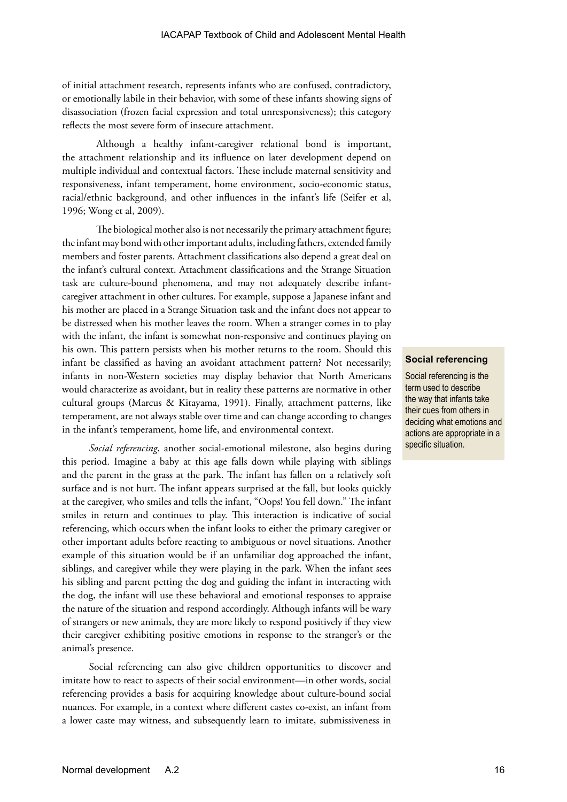of initial attachment research, represents infants who are confused, contradictory, or emotionally labile in their behavior, with some of these infants showing signs of disassociation (frozen facial expression and total unresponsiveness); this category reflects the most severe form of insecure attachment.

Although a healthy infant-caregiver relational bond is important, the attachment relationship and its influence on later development depend on multiple individual and contextual factors. These include maternal sensitivity and responsiveness, infant temperament, home environment, socio-economic status, racial/ethnic background, and other influences in the infant's life (Seifer et al, 1996; Wong et al, 2009).

The biological mother also is not necessarily the primary attachment figure; the infant may bond with other important adults, including fathers, extended family members and foster parents. Attachment classifications also depend a great deal on the infant's cultural context. Attachment classifications and the Strange Situation task are culture-bound phenomena, and may not adequately describe infantcaregiver attachment in other cultures. For example, suppose a Japanese infant and his mother are placed in a Strange Situation task and the infant does not appear to be distressed when his mother leaves the room. When a stranger comes in to play with the infant, the infant is somewhat non-responsive and continues playing on his own. This pattern persists when his mother returns to the room. Should this infant be classified as having an avoidant attachment pattern? Not necessarily; infants in non-Western societies may display behavior that North Americans would characterize as avoidant, but in reality these patterns are normative in other cultural groups (Marcus & Kitayama, 1991). Finally, attachment patterns, like temperament, are not always stable over time and can change according to changes in the infant's temperament, home life, and environmental context.

*Social referencing*, another social-emotional milestone, also begins during this period. Imagine a baby at this age falls down while playing with siblings and the parent in the grass at the park. The infant has fallen on a relatively soft surface and is not hurt. The infant appears surprised at the fall, but looks quickly at the caregiver, who smiles and tells the infant, "Oops! You fell down." The infant smiles in return and continues to play. This interaction is indicative of social referencing, which occurs when the infant looks to either the primary caregiver or other important adults before reacting to ambiguous or novel situations. Another example of this situation would be if an unfamiliar dog approached the infant, siblings, and caregiver while they were playing in the park. When the infant sees his sibling and parent petting the dog and guiding the infant in interacting with the dog, the infant will use these behavioral and emotional responses to appraise the nature of the situation and respond accordingly. Although infants will be wary of strangers or new animals, they are more likely to respond positively if they view their caregiver exhibiting positive emotions in response to the stranger's or the animal's presence.

Social referencing can also give children opportunities to discover and imitate how to react to aspects of their social environment—in other words, social referencing provides a basis for acquiring knowledge about culture-bound social nuances. For example, in a context where different castes co-exist, an infant from a lower caste may witness, and subsequently learn to imitate, submissiveness in

#### **Social referencing**

Social referencing is the term used to describe the way that infants take their cues from others in deciding what emotions and actions are appropriate in a specific situation.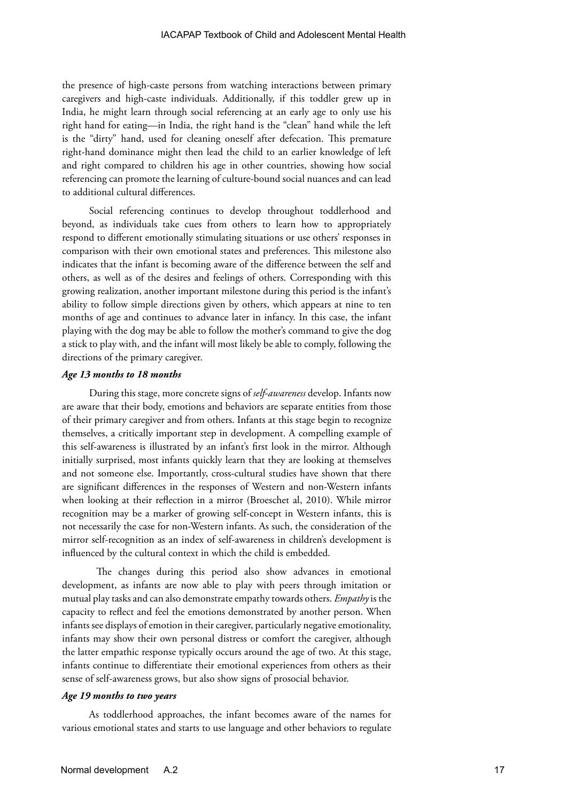the presence of high-caste persons from watching interactions between primary caregivers and high-caste individuals. Additionally, if this toddler grew up in India, he might learn through social referencing at an early age to only use his right hand for eating—in India, the right hand is the "clean" hand while the left is the "dirty" hand, used for cleaning oneself after defecation. This premature right-hand dominance might then lead the child to an earlier knowledge of left and right compared to children his age in other countries, showing how social referencing can promote the learning of culture-bound social nuances and can lead to additional cultural differences.

Social referencing continues to develop throughout toddlerhood and beyond, as individuals take cues from others to learn how to appropriately respond to different emotionally stimulating situations or use others' responses in comparison with their own emotional states and preferences. This milestone also indicates that the infant is becoming aware of the difference between the self and others, as well as of the desires and feelings of others. Corresponding with this growing realization, another important milestone during this period is the infant's ability to follow simple directions given by others, which appears at nine to ten months of age and continues to advance later in infancy. In this case, the infant playing with the dog may be able to follow the mother's command to give the dog a stick to play with, and the infant will most likely be able to comply, following the directions of the primary caregiver.

#### *Age 13 months to 18 months*

During this stage, more concrete signs of *self-awareness* develop. Infants now are aware that their body, emotions and behaviors are separate entities from those of their primary caregiver and from others. Infants at this stage begin to recognize themselves, a critically important step in development. A compelling example of this self-awareness is illustrated by an infant's first look in the mirror. Although initially surprised, most infants quickly learn that they are looking at themselves and not someone else. Importantly, cross-cultural studies have shown that there are significant differences in the responses of Western and non-Western infants when looking at their reflection in a mirror (Broeschet al, 2010). While mirror recognition may be a marker of growing self-concept in Western infants, this is not necessarily the case for non-Western infants. As such, the consideration of the mirror self-recognition as an index of self-awareness in children's development is influenced by the cultural context in which the child is embedded.

The changes during this period also show advances in emotional development, as infants are now able to play with peers through imitation or mutual play tasks and can also demonstrate empathy towards others. *Empathy* is the capacity to reflect and feel the emotions demonstrated by another person. When infants see displays of emotion in their caregiver, particularly negative emotionality, infants may show their own personal distress or comfort the caregiver, although the latter empathic response typically occurs around the age of two. At this stage, infants continue to differentiate their emotional experiences from others as their sense of self-awareness grows, but also show signs of prosocial behavior.

#### *Age 19 months to two years*

As toddlerhood approaches, the infant becomes aware of the names for various emotional states and starts to use language and other behaviors to regulate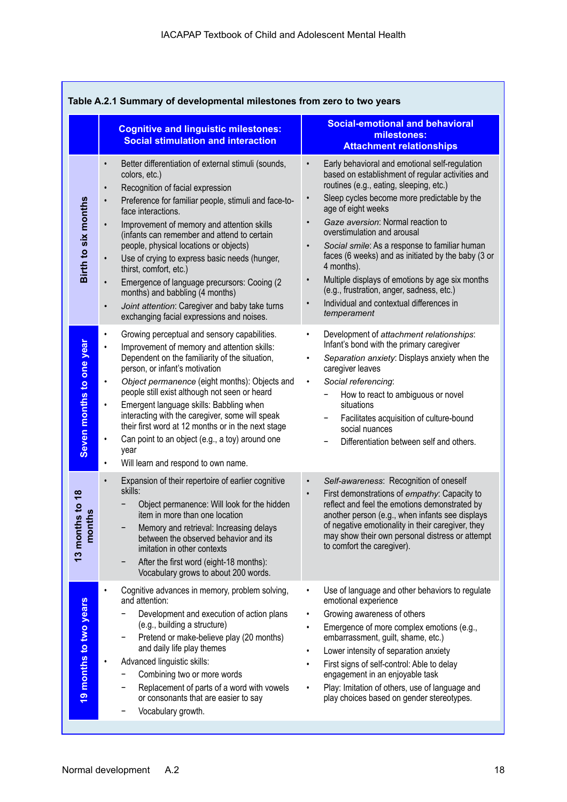| Table A.2.1 Summary of developmental milestones from zero to two years |                                                                                                                                                                                                                                                                                                                                                                                                                                                                                                                                                                                                                                                            |                                                                                                                                                                                                                                                                                                                                                                                                                                                                                                                                                                                                                                         |  |  |
|------------------------------------------------------------------------|------------------------------------------------------------------------------------------------------------------------------------------------------------------------------------------------------------------------------------------------------------------------------------------------------------------------------------------------------------------------------------------------------------------------------------------------------------------------------------------------------------------------------------------------------------------------------------------------------------------------------------------------------------|-----------------------------------------------------------------------------------------------------------------------------------------------------------------------------------------------------------------------------------------------------------------------------------------------------------------------------------------------------------------------------------------------------------------------------------------------------------------------------------------------------------------------------------------------------------------------------------------------------------------------------------------|--|--|
|                                                                        | <b>Cognitive and linguistic milestones:</b><br><b>Social stimulation and interaction</b>                                                                                                                                                                                                                                                                                                                                                                                                                                                                                                                                                                   | <b>Social-emotional and behavioral</b><br>milestones:<br><b>Attachment relationships</b>                                                                                                                                                                                                                                                                                                                                                                                                                                                                                                                                                |  |  |
| Birth to six months                                                    | Better differentiation of external stimuli (sounds,<br>$\bullet$<br>colors, etc.)<br>Recognition of facial expression<br>$\bullet$<br>Preference for familiar people, stimuli and face-to-<br>$\bullet$<br>face interactions.<br>Improvement of memory and attention skills<br>(infants can remember and attend to certain<br>people, physical locations or objects)<br>Use of crying to express basic needs (hunger,<br>thirst, comfort, etc.)<br>Emergence of language precursors: Cooing (2<br>$\bullet$<br>months) and babbling (4 months)<br>Joint attention: Caregiver and baby take turns<br>$\bullet$<br>exchanging facial expressions and noises. | Early behavioral and emotional self-regulation<br>$\bullet$<br>based on establishment of regular activities and<br>routines (e.g., eating, sleeping, etc.)<br>Sleep cycles become more predictable by the<br>$\bullet$<br>age of eight weeks<br>Gaze aversion: Normal reaction to<br>$\bullet$<br>overstimulation and arousal<br>Social smile: As a response to familiar human<br>faces (6 weeks) and as initiated by the baby (3 or<br>4 months).<br>Multiple displays of emotions by age six months<br>$\bullet$<br>(e.g., frustration, anger, sadness, etc.)<br>Individual and contextual differences in<br>$\bullet$<br>temperament |  |  |
| Seven months to one year                                               | Growing perceptual and sensory capabilities.<br>$\bullet$<br>Improvement of memory and attention skills:<br>$\bullet$<br>Dependent on the familiarity of the situation,<br>person, or infant's motivation<br>Object permanence (eight months): Objects and<br>٠<br>people still exist although not seen or heard<br>Emergent language skills: Babbling when<br>$\bullet$<br>interacting with the caregiver, some will speak<br>their first word at 12 months or in the next stage<br>Can point to an object (e.g., a toy) around one<br>٠<br>year<br>Will learn and respond to own name.<br>$\bullet$                                                      | Development of attachment relationships:<br>$\bullet$<br>Infant's bond with the primary caregiver<br>Separation anxiety: Displays anxiety when the<br>$\bullet$<br>caregiver leaves<br>Social referencing:<br>$\bullet$<br>How to react to ambiguous or novel<br>situations<br>Facilitates acquisition of culture-bound<br>social nuances<br>Differentiation between self and others.                                                                                                                                                                                                                                                   |  |  |
| $s$ to 18<br>$\mathbf{a}$<br>13 month<br>mont                          | Expansion of their repertoire of earlier cognitive<br>$\bullet$<br>skills:<br>Object permanence: Will look for the hidden<br>item in more than one location<br>Memory and retrieval: Increasing delays<br>between the observed behavior and its<br>imitation in other contexts<br>After the first word (eight-18 months):<br>Vocabulary grows to about 200 words.                                                                                                                                                                                                                                                                                          | Self-awareness: Recognition of oneself<br>$\bullet$<br>First demonstrations of empathy: Capacity to<br>$\bullet$<br>reflect and feel the emotions demonstrated by<br>another person (e.g., when infants see displays<br>of negative emotionality in their caregiver, they<br>may show their own personal distress or attempt<br>to comfort the caregiver).                                                                                                                                                                                                                                                                              |  |  |
| 19 months to two years                                                 | Cognitive advances in memory, problem solving,<br>and attention:<br>Development and execution of action plans<br>(e.g., building a structure)<br>Pretend or make-believe play (20 months)<br>-<br>and daily life play themes<br>Advanced linguistic skills:<br>٠<br>Combining two or more words<br>Replacement of parts of a word with vowels<br>or consonants that are easier to say<br>Vocabulary growth.                                                                                                                                                                                                                                                | Use of language and other behaviors to regulate<br>emotional experience<br>Growing awareness of others<br>$\bullet$<br>Emergence of more complex emotions (e.g.,<br>$\bullet$<br>embarrassment, guilt, shame, etc.)<br>Lower intensity of separation anxiety<br>$\bullet$<br>First signs of self-control: Able to delay<br>engagement in an enjoyable task<br>Play: Imitation of others, use of language and<br>play choices based on gender stereotypes.                                                                                                                                                                               |  |  |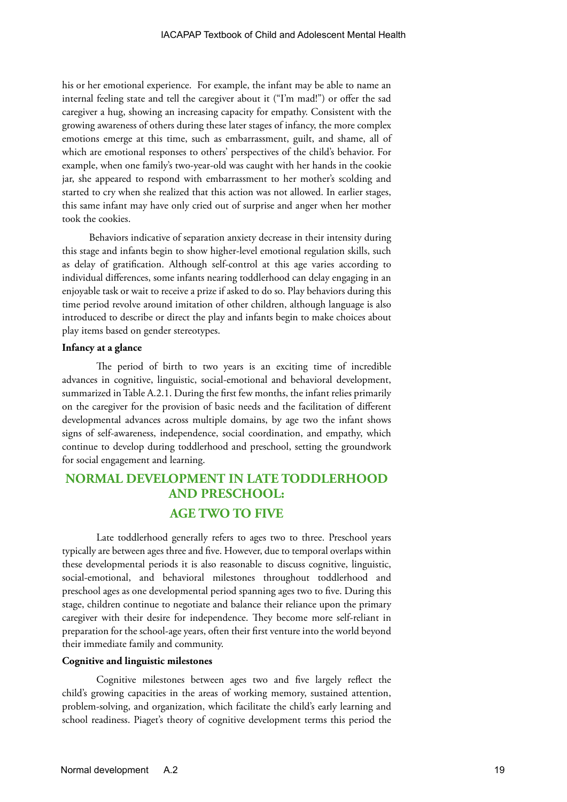his or her emotional experience. For example, the infant may be able to name an internal feeling state and tell the caregiver about it ("I'm mad!") or offer the sad caregiver a hug, showing an increasing capacity for empathy. Consistent with the growing awareness of others during these later stages of infancy, the more complex emotions emerge at this time, such as embarrassment, guilt, and shame, all of which are emotional responses to others' perspectives of the child's behavior. For example, when one family's two-year-old was caught with her hands in the cookie jar, she appeared to respond with embarrassment to her mother's scolding and started to cry when she realized that this action was not allowed. In earlier stages, this same infant may have only cried out of surprise and anger when her mother took the cookies.

Behaviors indicative of separation anxiety decrease in their intensity during this stage and infants begin to show higher-level emotional regulation skills, such as delay of gratification. Although self-control at this age varies according to individual differences, some infants nearing toddlerhood can delay engaging in an enjoyable task or wait to receive a prize if asked to do so. Play behaviors during this time period revolve around imitation of other children, although language is also introduced to describe or direct the play and infants begin to make choices about play items based on gender stereotypes.

#### **Infancy at a glance**

The period of birth to two years is an exciting time of incredible advances in cognitive, linguistic, social-emotional and behavioral development, summarized in Table A.2.1. During the first few months, the infant relies primarily on the caregiver for the provision of basic needs and the facilitation of different developmental advances across multiple domains, by age two the infant shows signs of self-awareness, independence, social coordination, and empathy, which continue to develop during toddlerhood and preschool, setting the groundwork for social engagement and learning.

## **NORMAL DEVELOPMENT IN LATE TODDLERHOOD AND PRESCHOOL: AGE TWO TO FIVE**

Late toddlerhood generally refers to ages two to three. Preschool years typically are between ages three and five. However, due to temporal overlaps within these developmental periods it is also reasonable to discuss cognitive, linguistic, social-emotional, and behavioral milestones throughout toddlerhood and preschool ages as one developmental period spanning ages two to five. During this stage, children continue to negotiate and balance their reliance upon the primary caregiver with their desire for independence. They become more self-reliant in preparation for the school-age years, often their first venture into the world beyond their immediate family and community.

#### **Cognitive and linguistic milestones**

Cognitive milestones between ages two and five largely reflect the child's growing capacities in the areas of working memory, sustained attention, problem-solving, and organization, which facilitate the child's early learning and school readiness. Piaget's theory of cognitive development terms this period the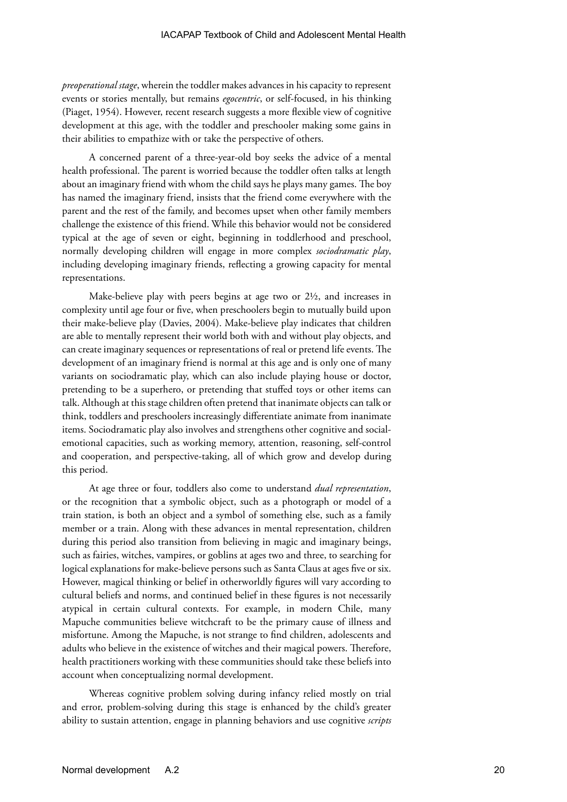*preoperational stage*, wherein the toddler makes advances in his capacity to represent events or stories mentally, but remains *egocentric*, or self-focused, in his thinking (Piaget, 1954). However, recent research suggests a more flexible view of cognitive development at this age, with the toddler and preschooler making some gains in their abilities to empathize with or take the perspective of others.

A concerned parent of a three-year-old boy seeks the advice of a mental health professional. The parent is worried because the toddler often talks at length about an imaginary friend with whom the child says he plays many games. The boy has named the imaginary friend, insists that the friend come everywhere with the parent and the rest of the family, and becomes upset when other family members challenge the existence of this friend. While this behavior would not be considered typical at the age of seven or eight, beginning in toddlerhood and preschool, normally developing children will engage in more complex *sociodramatic play*, including developing imaginary friends, reflecting a growing capacity for mental representations.

Make-believe play with peers begins at age two or 2½, and increases in complexity until age four or five, when preschoolers begin to mutually build upon their make-believe play (Davies, 2004). Make-believe play indicates that children are able to mentally represent their world both with and without play objects, and can create imaginary sequences or representations of real or pretend life events. The development of an imaginary friend is normal at this age and is only one of many variants on sociodramatic play, which can also include playing house or doctor, pretending to be a superhero, or pretending that stuffed toys or other items can talk. Although at this stage children often pretend that inanimate objects can talk or think, toddlers and preschoolers increasingly differentiate animate from inanimate items. Sociodramatic play also involves and strengthens other cognitive and socialemotional capacities, such as working memory, attention, reasoning, self-control and cooperation, and perspective-taking, all of which grow and develop during this period.

At age three or four, toddlers also come to understand *dual representation*, or the recognition that a symbolic object, such as a photograph or model of a train station, is both an object and a symbol of something else, such as a family member or a train. Along with these advances in mental representation, children during this period also transition from believing in magic and imaginary beings, such as fairies, witches, vampires, or goblins at ages two and three, to searching for logical explanations for make-believe persons such as Santa Claus at ages five or six. However, magical thinking or belief in otherworldly figures will vary according to cultural beliefs and norms, and continued belief in these figures is not necessarily atypical in certain cultural contexts. For example, in modern Chile, many Mapuche communities believe witchcraft to be the primary cause of illness and misfortune. Among the Mapuche, is not strange to find children, adolescents and adults who believe in the existence of witches and their magical powers. Therefore, health practitioners working with these communities should take these beliefs into account when conceptualizing normal development.

Whereas cognitive problem solving during infancy relied mostly on trial and error, problem-solving during this stage is enhanced by the child's greater ability to sustain attention, engage in planning behaviors and use cognitive *scripts*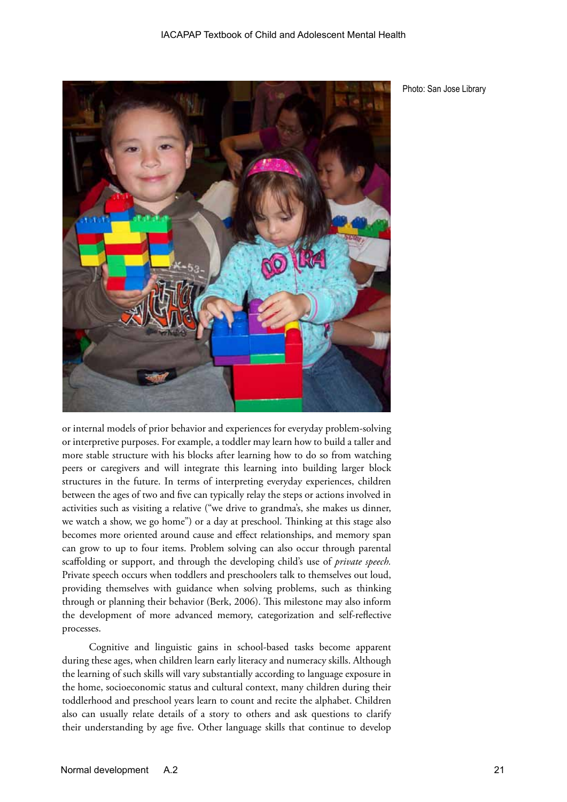

Photo: San Jose Library

or internal models of prior behavior and experiences for everyday problem-solving or interpretive purposes. For example, a toddler may learn how to build a taller and more stable structure with his blocks after learning how to do so from watching peers or caregivers and will integrate this learning into building larger block structures in the future. In terms of interpreting everyday experiences, children between the ages of two and five can typically relay the steps or actions involved in activities such as visiting a relative ("we drive to grandma's, she makes us dinner, we watch a show, we go home") or a day at preschool. Thinking at this stage also becomes more oriented around cause and effect relationships, and memory span can grow to up to four items. Problem solving can also occur through parental scaffolding or support, and through the developing child's use of *private speech.*  Private speech occurs when toddlers and preschoolers talk to themselves out loud, providing themselves with guidance when solving problems, such as thinking through or planning their behavior (Berk, 2006). This milestone may also inform the development of more advanced memory, categorization and self-reflective processes.

Cognitive and linguistic gains in school-based tasks become apparent during these ages, when children learn early literacy and numeracy skills. Although the learning of such skills will vary substantially according to language exposure in the home, socioeconomic status and cultural context, many children during their toddlerhood and preschool years learn to count and recite the alphabet. Children also can usually relate details of a story to others and ask questions to clarify their understanding by age five. Other language skills that continue to develop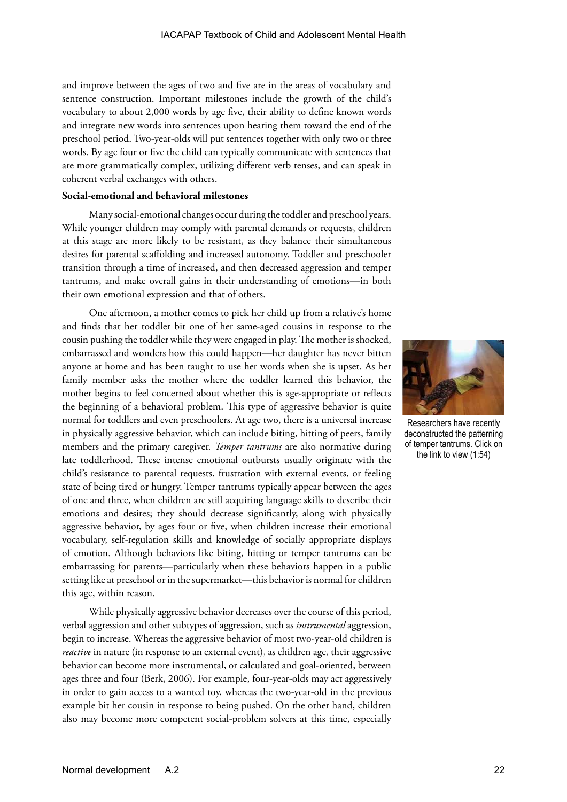and improve between the ages of two and five are in the areas of vocabulary and sentence construction. Important milestones include the growth of the child's vocabulary to about 2,000 words by age five, their ability to define known words and integrate new words into sentences upon hearing them toward the end of the preschool period. Two-year-olds will put sentences together with only two or three words. By age four or five the child can typically communicate with sentences that are more grammatically complex, utilizing different verb tenses, and can speak in coherent verbal exchanges with others.

#### **Social-emotional and behavioral milestones**

Many social-emotional changes occur during the toddler and preschool years. While younger children may comply with parental demands or requests, children at this stage are more likely to be resistant, as they balance their simultaneous desires for parental scaffolding and increased autonomy. Toddler and preschooler transition through a time of increased, and then decreased aggression and temper tantrums, and make overall gains in their understanding of emotions—in both their own emotional expression and that of others.

One afternoon, a mother comes to pick her child up from a relative's home and finds that her toddler bit one of her same-aged cousins in response to the cousin pushing the toddler while they were engaged in play. The mother is shocked, embarrassed and wonders how this could happen—her daughter has never bitten anyone at home and has been taught to use her words when she is upset. As her family member asks the mother where the toddler learned this behavior, the mother begins to feel concerned about whether this is age-appropriate or reflects the beginning of a behavioral problem. This type of aggressive behavior is quite normal for toddlers and even preschoolers. At age two, there is a universal increase in physically aggressive behavior, which can include biting, hitting of peers, family members and the primary caregiver. *Temper tantrums* are also normative during late toddlerhood. These intense emotional outbursts usually originate with the child's resistance to parental requests, frustration with external events, or feeling state of being tired or hungry. Temper tantrums typically appear between the ages of one and three, when children are still acquiring language skills to describe their emotions and desires; they should decrease significantly, along with physically aggressive behavior, by ages four or five, when children increase their emotional vocabulary, self-regulation skills and knowledge of socially appropriate displays of emotion. Although behaviors like biting, hitting or temper tantrums can be embarrassing for parents—particularly when these behaviors happen in a public setting like at preschool or in the supermarket—this behavior is normal for children this age, within reason.

While physically aggressive behavior decreases over the course of this period, verbal aggression and other subtypes of aggression, such as *instrumental* aggression, begin to increase. Whereas the aggressive behavior of most two-year-old children is *reactive* in nature (in response to an external event), as children age, their aggressive behavior can become more instrumental, or calculated and goal-oriented, between ages three and four (Berk, 2006). For example, four-year-olds may act aggressively in order to gain access to a wanted toy, whereas the two-year-old in the previous example bit her cousin in response to being pushed. On the other hand, children also may become more competent social-problem solvers at this time, especially



Researchers have recently deconstructed the patterning of temper tantrums. Click on the link to view (1:54)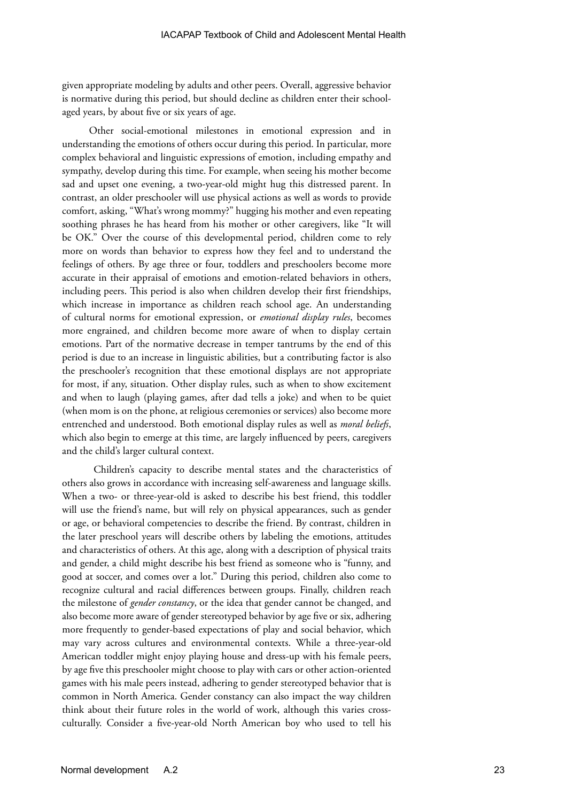given appropriate modeling by adults and other peers. Overall, aggressive behavior is normative during this period, but should decline as children enter their schoolaged years, by about five or six years of age.

Other social-emotional milestones in emotional expression and in understanding the emotions of others occur during this period. In particular, more complex behavioral and linguistic expressions of emotion, including empathy and sympathy, develop during this time. For example, when seeing his mother become sad and upset one evening, a two-year-old might hug this distressed parent. In contrast, an older preschooler will use physical actions as well as words to provide comfort, asking, "What's wrong mommy?" hugging his mother and even repeating soothing phrases he has heard from his mother or other caregivers, like "It will be OK." Over the course of this developmental period, children come to rely more on words than behavior to express how they feel and to understand the feelings of others. By age three or four, toddlers and preschoolers become more accurate in their appraisal of emotions and emotion-related behaviors in others, including peers. This period is also when children develop their first friendships, which increase in importance as children reach school age. An understanding of cultural norms for emotional expression, or *emotional display rules*, becomes more engrained, and children become more aware of when to display certain emotions. Part of the normative decrease in temper tantrums by the end of this period is due to an increase in linguistic abilities, but a contributing factor is also the preschooler's recognition that these emotional displays are not appropriate for most, if any, situation. Other display rules, such as when to show excitement and when to laugh (playing games, after dad tells a joke) and when to be quiet (when mom is on the phone, at religious ceremonies or services) also become more entrenched and understood. Both emotional display rules as well as *moral beliefs*, which also begin to emerge at this time, are largely influenced by peers, caregivers and the child's larger cultural context.

 Children's capacity to describe mental states and the characteristics of others also grows in accordance with increasing self-awareness and language skills. When a two- or three-year-old is asked to describe his best friend, this toddler will use the friend's name, but will rely on physical appearances, such as gender or age, or behavioral competencies to describe the friend. By contrast, children in the later preschool years will describe others by labeling the emotions, attitudes and characteristics of others. At this age, along with a description of physical traits and gender, a child might describe his best friend as someone who is "funny, and good at soccer, and comes over a lot." During this period, children also come to recognize cultural and racial differences between groups. Finally, children reach the milestone of *gender constancy*, or the idea that gender cannot be changed, and also become more aware of gender stereotyped behavior by age five or six, adhering more frequently to gender-based expectations of play and social behavior, which may vary across cultures and environmental contexts. While a three-year-old American toddler might enjoy playing house and dress-up with his female peers, by age five this preschooler might choose to play with cars or other action-oriented games with his male peers instead, adhering to gender stereotyped behavior that is common in North America. Gender constancy can also impact the way children think about their future roles in the world of work, although this varies crossculturally. Consider a five-year-old North American boy who used to tell his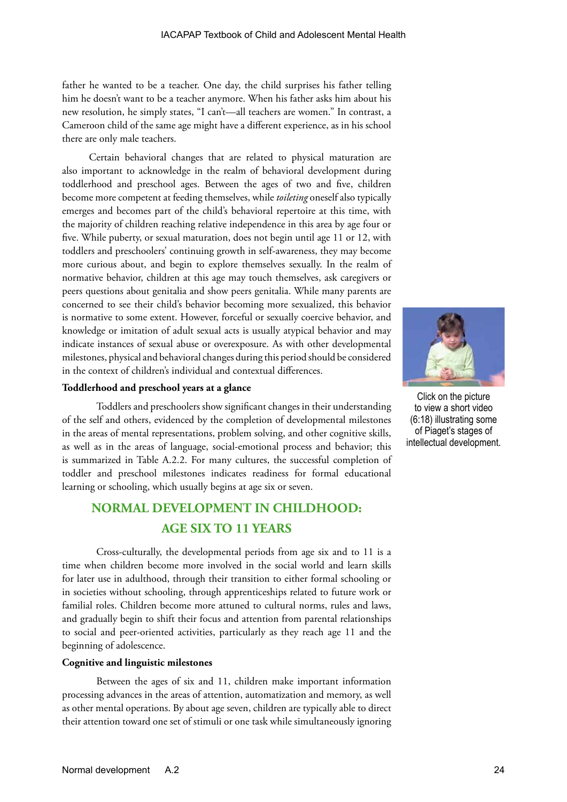father he wanted to be a teacher. One day, the child surprises his father telling him he doesn't want to be a teacher anymore. When his father asks him about his new resolution, he simply states, "I can't—all teachers are women." In contrast, a Cameroon child of the same age might have a different experience, as in his school there are only male teachers.

Certain behavioral changes that are related to physical maturation are also important to acknowledge in the realm of behavioral development during toddlerhood and preschool ages. Between the ages of two and five, children become more competent at feeding themselves, while *toileting* oneself also typically emerges and becomes part of the child's behavioral repertoire at this time, with the majority of children reaching relative independence in this area by age four or five. While puberty, or sexual maturation, does not begin until age 11 or 12, with toddlers and preschoolers' continuing growth in self-awareness, they may become more curious about, and begin to explore themselves sexually. In the realm of normative behavior, children at this age may touch themselves, ask caregivers or peers questions about genitalia and show peers genitalia. While many parents are concerned to see their child's behavior becoming more sexualized, this behavior is normative to some extent. However, forceful or sexually coercive behavior, and knowledge or imitation of adult sexual acts is usually atypical behavior and may indicate instances of sexual abuse or overexposure. As with other developmental milestones, physical and behavioral changes during this period should be considered in the context of children's individual and contextual differences.

#### **Toddlerhood and preschool years at a glance**

Toddlers and preschoolers show significant changes in their understanding of the self and others, evidenced by the completion of developmental milestones in the areas of mental representations, problem solving, and other cognitive skills, as well as in the areas of language, social-emotional process and behavior; this is summarized in Table A.2.2. For many cultures, the successful completion of toddler and preschool milestones indicates readiness for formal educational learning or schooling, which usually begins at age six or seven.

# **NORMAL DEVELOPMENT IN CHILDHOOD: AGE SIX TO 11 YEARS**

Cross-culturally, the developmental periods from age six and to 11 is a time when children become more involved in the social world and learn skills for later use in adulthood, through their transition to either formal schooling or in societies without schooling, through apprenticeships related to future work or familial roles. Children become more attuned to cultural norms, rules and laws, and gradually begin to shift their focus and attention from parental relationships to social and peer-oriented activities, particularly as they reach age 11 and the beginning of adolescence.

#### **Cognitive and linguistic milestones**

Between the ages of six and 11, children make important information processing advances in the areas of attention, automatization and memory, as well as other mental operations. By about age seven, children are typically able to direct their attention toward one set of stimuli or one task while simultaneously ignoring



Click on the picture to view a short video (6:18) illustrating some of Piaget's stages of intellectual development.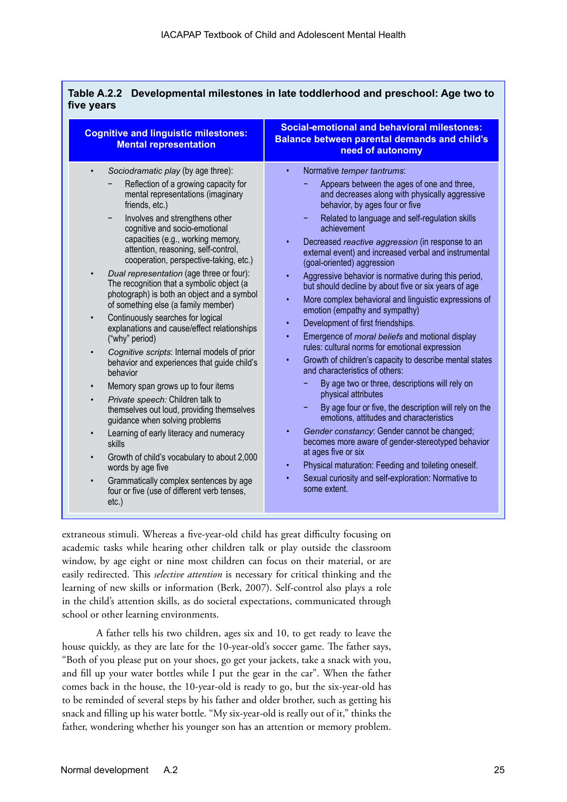| <b>Cognitive and linguistic milestones:</b><br><b>Mental representation</b>                                                                                                                                                                                                                                                                                                                                                                                                                                                                                                                                                                                                                                                                                                                                                                                                                                                                                                                                                                                                                      | <b>Social-emotional and behavioral milestones:</b><br>Balance between parental demands and child's<br>need of autonomy                                                                                                                                                                                                                                                                                                                                                                                                                                                                                                                                                                                                                                                                                                                                                                                                                                                                                                                                                                                                                                                                                                                                                                                                                                                                                         |
|--------------------------------------------------------------------------------------------------------------------------------------------------------------------------------------------------------------------------------------------------------------------------------------------------------------------------------------------------------------------------------------------------------------------------------------------------------------------------------------------------------------------------------------------------------------------------------------------------------------------------------------------------------------------------------------------------------------------------------------------------------------------------------------------------------------------------------------------------------------------------------------------------------------------------------------------------------------------------------------------------------------------------------------------------------------------------------------------------|----------------------------------------------------------------------------------------------------------------------------------------------------------------------------------------------------------------------------------------------------------------------------------------------------------------------------------------------------------------------------------------------------------------------------------------------------------------------------------------------------------------------------------------------------------------------------------------------------------------------------------------------------------------------------------------------------------------------------------------------------------------------------------------------------------------------------------------------------------------------------------------------------------------------------------------------------------------------------------------------------------------------------------------------------------------------------------------------------------------------------------------------------------------------------------------------------------------------------------------------------------------------------------------------------------------------------------------------------------------------------------------------------------------|
| Sociodramatic play (by age three):<br>Reflection of a growing capacity for<br>mental representations (imaginary<br>friends, etc.)<br>Involves and strengthens other<br>-<br>cognitive and socio-emotional<br>capacities (e.g., working memory,<br>attention, reasoning, self-control,<br>cooperation, perspective-taking, etc.)<br>Dual representation (age three or four):<br>The recognition that a symbolic object (a<br>photograph) is both an object and a symbol<br>of something else (a family member)<br>Continuously searches for logical<br>$\bullet$<br>explanations and cause/effect relationships<br>("why" period)<br>Cognitive scripts: Internal models of prior<br>$\bullet$<br>behavior and experiences that guide child's<br>behavior<br>Memory span grows up to four items<br>$\bullet$<br>Private speech: Children talk to<br>themselves out loud, providing themselves<br>guidance when solving problems<br>Learning of early literacy and numeracy<br>skills<br>Growth of child's vocabulary to about 2,000<br>words by age five<br>Grammatically complex sentences by age | Normative temper tantrums:<br>$\bullet$<br>Appears between the ages of one and three,<br>and decreases along with physically aggressive<br>behavior, by ages four or five<br>Related to language and self-regulation skills<br>۰<br>achievement<br>Decreased reactive aggression (in response to an<br>$\bullet$<br>external event) and increased verbal and instrumental<br>(goal-oriented) aggression<br>Aggressive behavior is normative during this period,<br>$\bullet$<br>but should decline by about five or six years of age<br>More complex behavioral and linguistic expressions of<br>$\bullet$<br>emotion (empathy and sympathy)<br>Development of first friendships.<br>$\bullet$<br>Emergence of <i>moral beliefs</i> and motional display<br>$\bullet$<br>rules: cultural norms for emotional expression<br>Growth of children's capacity to describe mental states<br>$\bullet$<br>and characteristics of others:<br>By age two or three, descriptions will rely on<br>physical attributes<br>By age four or five, the description will rely on the<br>emotions, attitudes and characteristics<br>Gender constancy: Gender cannot be changed;<br>$\bullet$<br>becomes more aware of gender-stereotyped behavior<br>at ages five or six<br>Physical maturation: Feeding and toileting oneself.<br>$\bullet$<br>Sexual curiosity and self-exploration: Normative to<br>$\bullet$<br>some extent. |

extraneous stimuli. Whereas a five-year-old child has great difficulty focusing on academic tasks while hearing other children talk or play outside the classroom window, by age eight or nine most children can focus on their material, or are easily redirected. This *selective attention* is necessary for critical thinking and the learning of new skills or information (Berk, 2007). Self-control also plays a role in the child's attention skills, as do societal expectations, communicated through school or other learning environments.

A father tells his two children, ages six and 10, to get ready to leave the house quickly, as they are late for the 10-year-old's soccer game. The father says, "Both of you please put on your shoes, go get your jackets, take a snack with you, and fill up your water bottles while I put the gear in the car". When the father comes back in the house, the 10-year-old is ready to go, but the six-year-old has to be reminded of several steps by his father and older brother, such as getting his snack and filling up his water bottle. "My six-year-old is really out of it," thinks the father, wondering whether his younger son has an attention or memory problem.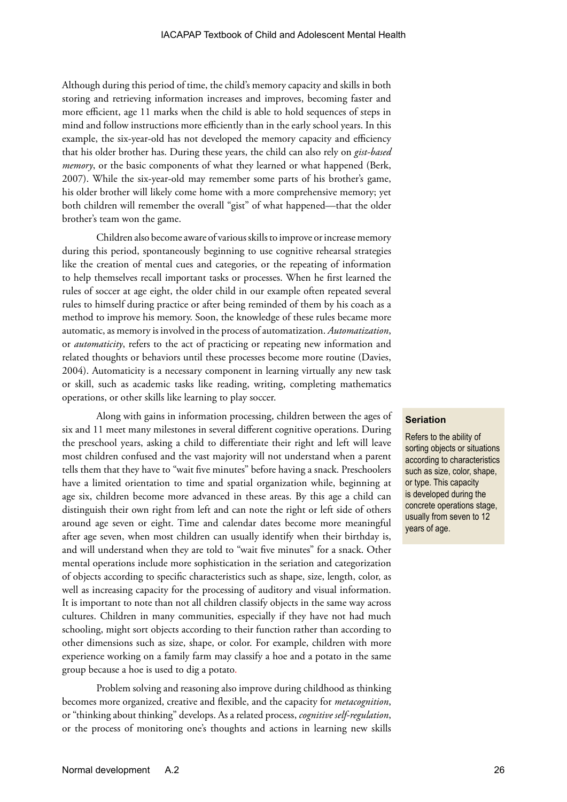Although during this period of time, the child's memory capacity and skills in both storing and retrieving information increases and improves, becoming faster and more efficient, age 11 marks when the child is able to hold sequences of steps in mind and follow instructions more efficiently than in the early school years. In this example, the six-year-old has not developed the memory capacity and efficiency that his older brother has. During these years, the child can also rely on *gist-based memory*, or the basic components of what they learned or what happened (Berk, 2007). While the six-year-old may remember some parts of his brother's game, his older brother will likely come home with a more comprehensive memory; yet both children will remember the overall "gist" of what happened—that the older brother's team won the game.

Children also become aware of various skills to improve or increase memory during this period, spontaneously beginning to use cognitive rehearsal strategies like the creation of mental cues and categories, or the repeating of information to help themselves recall important tasks or processes. When he first learned the rules of soccer at age eight, the older child in our example often repeated several rules to himself during practice or after being reminded of them by his coach as a method to improve his memory. Soon, the knowledge of these rules became more automatic, as memory is involved in the process of automatization. *Automatization*, or *automaticity*, refers to the act of practicing or repeating new information and related thoughts or behaviors until these processes become more routine (Davies, 2004). Automaticity is a necessary component in learning virtually any new task or skill, such as academic tasks like reading, writing, completing mathematics operations, or other skills like learning to play soccer.

Along with gains in information processing, children between the ages of six and 11 meet many milestones in several different cognitive operations. During the preschool years, asking a child to differentiate their right and left will leave most children confused and the vast majority will not understand when a parent tells them that they have to "wait five minutes" before having a snack. Preschoolers have a limited orientation to time and spatial organization while, beginning at age six, children become more advanced in these areas. By this age a child can distinguish their own right from left and can note the right or left side of others around age seven or eight. Time and calendar dates become more meaningful after age seven, when most children can usually identify when their birthday is, and will understand when they are told to "wait five minutes" for a snack. Other mental operations include more sophistication in the seriation and categorization of objects according to specific characteristics such as shape, size, length, color, as well as increasing capacity for the processing of auditory and visual information. It is important to note than not all children classify objects in the same way across cultures. Children in many communities, especially if they have not had much schooling, might sort objects according to their function rather than according to other dimensions such as size, shape, or color. For example, children with more experience working on a family farm may classify a hoe and a potato in the same group because a hoe is used to dig a potato.

Problem solving and reasoning also improve during childhood as thinking becomes more organized, creative and flexible, and the capacity for *metacognition*, or "thinking about thinking" develops. As a related process, *cognitive self-regulation*, or the process of monitoring one's thoughts and actions in learning new skills

#### **Seriation**

Refers to the ability of sorting objects or situations according to characteristics such as size, color, shape, or type. This capacity is developed during the concrete operations stage, usually from seven to 12 years of age.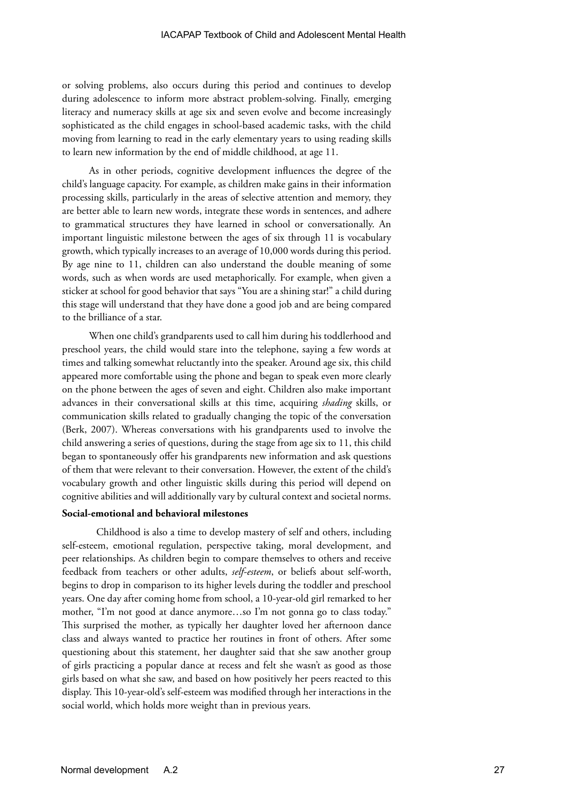or solving problems, also occurs during this period and continues to develop during adolescence to inform more abstract problem-solving. Finally, emerging literacy and numeracy skills at age six and seven evolve and become increasingly sophisticated as the child engages in school-based academic tasks, with the child moving from learning to read in the early elementary years to using reading skills to learn new information by the end of middle childhood, at age 11.

As in other periods, cognitive development influences the degree of the child's language capacity. For example, as children make gains in their information processing skills, particularly in the areas of selective attention and memory, they are better able to learn new words, integrate these words in sentences, and adhere to grammatical structures they have learned in school or conversationally. An important linguistic milestone between the ages of six through 11 is vocabulary growth, which typically increases to an average of 10,000 words during this period. By age nine to 11, children can also understand the double meaning of some words, such as when words are used metaphorically. For example, when given a sticker at school for good behavior that says "You are a shining star!" a child during this stage will understand that they have done a good job and are being compared to the brilliance of a star.

When one child's grandparents used to call him during his toddlerhood and preschool years, the child would stare into the telephone, saying a few words at times and talking somewhat reluctantly into the speaker. Around age six, this child appeared more comfortable using the phone and began to speak even more clearly on the phone between the ages of seven and eight. Children also make important advances in their conversational skills at this time, acquiring *shading* skills, or communication skills related to gradually changing the topic of the conversation (Berk, 2007). Whereas conversations with his grandparents used to involve the child answering a series of questions, during the stage from age six to 11, this child began to spontaneously offer his grandparents new information and ask questions of them that were relevant to their conversation. However, the extent of the child's vocabulary growth and other linguistic skills during this period will depend on cognitive abilities and will additionally vary by cultural context and societal norms.

#### **Social-emotional and behavioral milestones**

Childhood is also a time to develop mastery of self and others, including self-esteem, emotional regulation, perspective taking, moral development, and peer relationships. As children begin to compare themselves to others and receive feedback from teachers or other adults, *self-esteem*, or beliefs about self-worth, begins to drop in comparison to its higher levels during the toddler and preschool years. One day after coming home from school, a 10-year-old girl remarked to her mother, "I'm not good at dance anymore…so I'm not gonna go to class today." This surprised the mother, as typically her daughter loved her afternoon dance class and always wanted to practice her routines in front of others. After some questioning about this statement, her daughter said that she saw another group of girls practicing a popular dance at recess and felt she wasn't as good as those girls based on what she saw, and based on how positively her peers reacted to this display. This 10-year-old's self-esteem was modified through her interactions in the social world, which holds more weight than in previous years.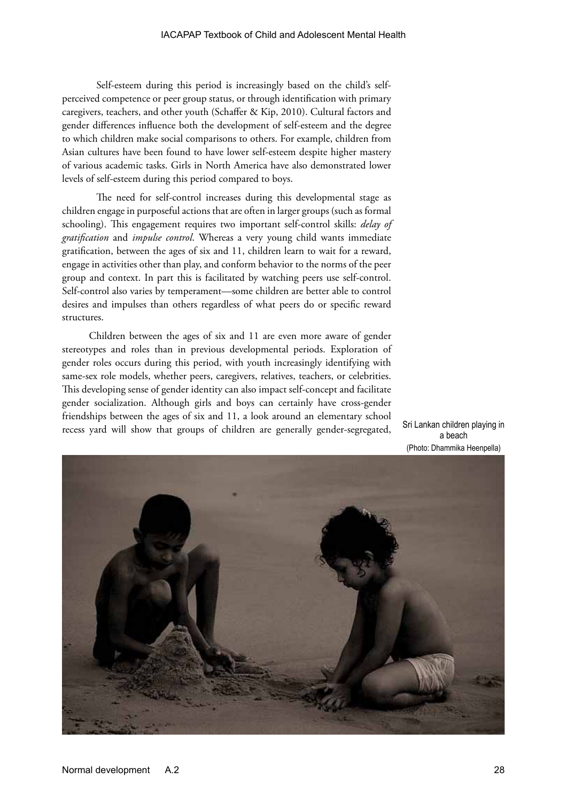Self-esteem during this period is increasingly based on the child's selfperceived competence or peer group status, or through identification with primary caregivers, teachers, and other youth (Schaffer & Kip, 2010). Cultural factors and gender differences influence both the development of self-esteem and the degree to which children make social comparisons to others. For example, children from Asian cultures have been found to have lower self-esteem despite higher mastery of various academic tasks. Girls in North America have also demonstrated lower levels of self-esteem during this period compared to boys.

The need for self-control increases during this developmental stage as children engage in purposeful actions that are often in larger groups (such as formal schooling). This engagement requires two important self-control skills: *delay of gratification* and *impulse control*. Whereas a very young child wants immediate gratification, between the ages of six and 11, children learn to wait for a reward, engage in activities other than play, and conform behavior to the norms of the peer group and context. In part this is facilitated by watching peers use self-control. Self-control also varies by temperament—some children are better able to control desires and impulses than others regardless of what peers do or specific reward structures.

Children between the ages of six and 11 are even more aware of gender stereotypes and roles than in previous developmental periods. Exploration of gender roles occurs during this period, with youth increasingly identifying with same-sex role models, whether peers, caregivers, relatives, teachers, or celebrities. This developing sense of gender identity can also impact self-concept and facilitate gender socialization. Although girls and boys can certainly have cross-gender friendships between the ages of six and 11, a look around an elementary school recess yard will show that groups of children are generally gender-segregated, Sri Lankan children playing in



a beach (Photo: Dhammika Heenpella)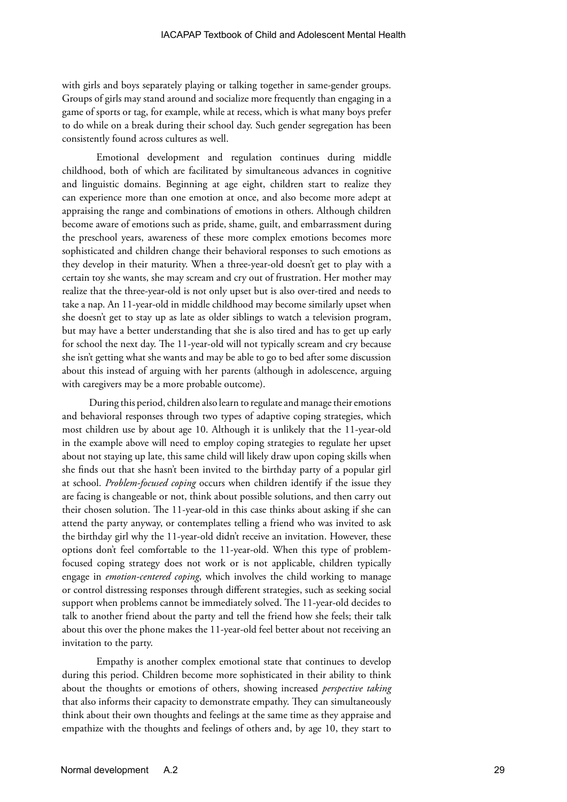with girls and boys separately playing or talking together in same-gender groups. Groups of girls may stand around and socialize more frequently than engaging in a game of sports or tag, for example, while at recess, which is what many boys prefer to do while on a break during their school day. Such gender segregation has been consistently found across cultures as well.

Emotional development and regulation continues during middle childhood, both of which are facilitated by simultaneous advances in cognitive and linguistic domains. Beginning at age eight, children start to realize they can experience more than one emotion at once, and also become more adept at appraising the range and combinations of emotions in others. Although children become aware of emotions such as pride, shame, guilt, and embarrassment during the preschool years, awareness of these more complex emotions becomes more sophisticated and children change their behavioral responses to such emotions as they develop in their maturity. When a three-year-old doesn't get to play with a certain toy she wants, she may scream and cry out of frustration. Her mother may realize that the three-year-old is not only upset but is also over-tired and needs to take a nap. An 11-year-old in middle childhood may become similarly upset when she doesn't get to stay up as late as older siblings to watch a television program, but may have a better understanding that she is also tired and has to get up early for school the next day. The 11-year-old will not typically scream and cry because she isn't getting what she wants and may be able to go to bed after some discussion about this instead of arguing with her parents (although in adolescence, arguing with caregivers may be a more probable outcome).

During this period, children also learn to regulate and manage their emotions and behavioral responses through two types of adaptive coping strategies, which most children use by about age 10. Although it is unlikely that the 11-year-old in the example above will need to employ coping strategies to regulate her upset about not staying up late, this same child will likely draw upon coping skills when she finds out that she hasn't been invited to the birthday party of a popular girl at school. *Problem-focused coping* occurs when children identify if the issue they are facing is changeable or not, think about possible solutions, and then carry out their chosen solution. The 11-year-old in this case thinks about asking if she can attend the party anyway, or contemplates telling a friend who was invited to ask the birthday girl why the 11-year-old didn't receive an invitation. However, these options don't feel comfortable to the 11-year-old. When this type of problemfocused coping strategy does not work or is not applicable, children typically engage in *emotion-centered coping*, which involves the child working to manage or control distressing responses through different strategies, such as seeking social support when problems cannot be immediately solved. The 11-year-old decides to talk to another friend about the party and tell the friend how she feels; their talk about this over the phone makes the 11-year-old feel better about not receiving an invitation to the party.

Empathy is another complex emotional state that continues to develop during this period. Children become more sophisticated in their ability to think about the thoughts or emotions of others, showing increased *perspective taking* that also informs their capacity to demonstrate empathy. They can simultaneously think about their own thoughts and feelings at the same time as they appraise and empathize with the thoughts and feelings of others and, by age 10, they start to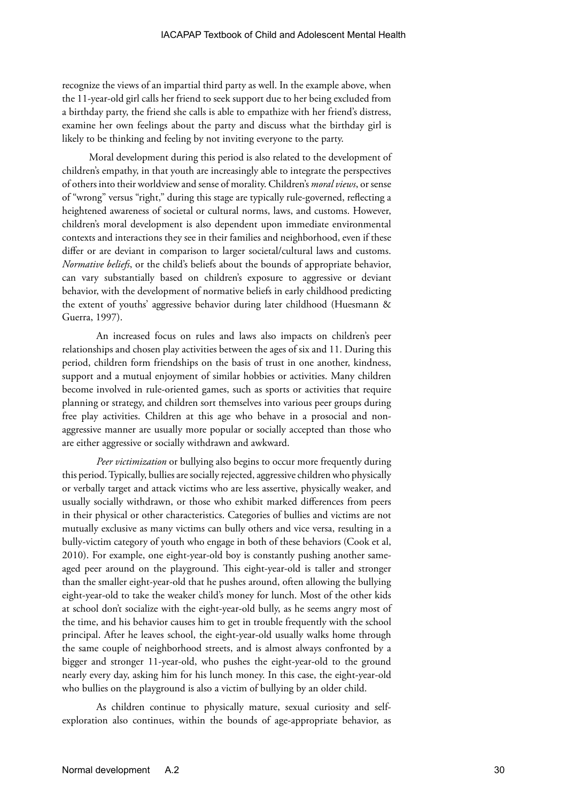recognize the views of an impartial third party as well. In the example above, when the 11-year-old girl calls her friend to seek support due to her being excluded from a birthday party, the friend she calls is able to empathize with her friend's distress, examine her own feelings about the party and discuss what the birthday girl is likely to be thinking and feeling by not inviting everyone to the party.

Moral development during this period is also related to the development of children's empathy, in that youth are increasingly able to integrate the perspectives of others into their worldview and sense of morality. Children's *moral views*, or sense of "wrong" versus "right," during this stage are typically rule-governed, reflecting a heightened awareness of societal or cultural norms, laws, and customs. However, children's moral development is also dependent upon immediate environmental contexts and interactions they see in their families and neighborhood, even if these differ or are deviant in comparison to larger societal/cultural laws and customs. *Normative beliefs*, or the child's beliefs about the bounds of appropriate behavior, can vary substantially based on children's exposure to aggressive or deviant behavior, with the development of normative beliefs in early childhood predicting the extent of youths' aggressive behavior during later childhood (Huesmann & Guerra, 1997).

An increased focus on rules and laws also impacts on children's peer relationships and chosen play activities between the ages of six and 11. During this period, children form friendships on the basis of trust in one another, kindness, support and a mutual enjoyment of similar hobbies or activities. Many children become involved in rule-oriented games, such as sports or activities that require planning or strategy, and children sort themselves into various peer groups during free play activities. Children at this age who behave in a prosocial and nonaggressive manner are usually more popular or socially accepted than those who are either aggressive or socially withdrawn and awkward.

*Peer victimization* or bullying also begins to occur more frequently during this period. Typically, bullies are socially rejected, aggressive children who physically or verbally target and attack victims who are less assertive, physically weaker, and usually socially withdrawn, or those who exhibit marked differences from peers in their physical or other characteristics. Categories of bullies and victims are not mutually exclusive as many victims can bully others and vice versa, resulting in a bully-victim category of youth who engage in both of these behaviors (Cook et al, 2010). For example, one eight-year-old boy is constantly pushing another sameaged peer around on the playground. This eight-year-old is taller and stronger than the smaller eight-year-old that he pushes around, often allowing the bullying eight-year-old to take the weaker child's money for lunch. Most of the other kids at school don't socialize with the eight-year-old bully, as he seems angry most of the time, and his behavior causes him to get in trouble frequently with the school principal. After he leaves school, the eight-year-old usually walks home through the same couple of neighborhood streets, and is almost always confronted by a bigger and stronger 11-year-old, who pushes the eight-year-old to the ground nearly every day, asking him for his lunch money. In this case, the eight-year-old who bullies on the playground is also a victim of bullying by an older child.

As children continue to physically mature, sexual curiosity and selfexploration also continues, within the bounds of age-appropriate behavior, as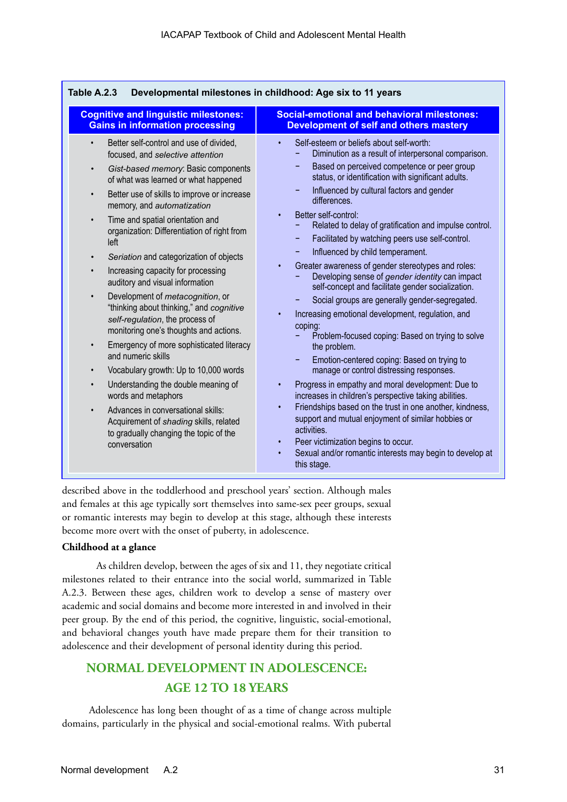| <b>Cognitive and linguistic milestones:</b>                                                                                                                                                                                                                                                                                                                                                                                                                                                                                                                                                                                                                                                                                                                                                                                                                                                                                                                                                                                                                         | <b>Social-emotional and behavioral milestones:</b>                                                                                                                                                                                                                                                                                                                                                                                                                                                                                                                                                                                                                                                                                                                                                                                                                                                                                                                                                                                                                                                                                                                                                                                                                                                         |
|---------------------------------------------------------------------------------------------------------------------------------------------------------------------------------------------------------------------------------------------------------------------------------------------------------------------------------------------------------------------------------------------------------------------------------------------------------------------------------------------------------------------------------------------------------------------------------------------------------------------------------------------------------------------------------------------------------------------------------------------------------------------------------------------------------------------------------------------------------------------------------------------------------------------------------------------------------------------------------------------------------------------------------------------------------------------|------------------------------------------------------------------------------------------------------------------------------------------------------------------------------------------------------------------------------------------------------------------------------------------------------------------------------------------------------------------------------------------------------------------------------------------------------------------------------------------------------------------------------------------------------------------------------------------------------------------------------------------------------------------------------------------------------------------------------------------------------------------------------------------------------------------------------------------------------------------------------------------------------------------------------------------------------------------------------------------------------------------------------------------------------------------------------------------------------------------------------------------------------------------------------------------------------------------------------------------------------------------------------------------------------------|
| <b>Gains in information processing</b>                                                                                                                                                                                                                                                                                                                                                                                                                                                                                                                                                                                                                                                                                                                                                                                                                                                                                                                                                                                                                              | <b>Development of self and others mastery</b>                                                                                                                                                                                                                                                                                                                                                                                                                                                                                                                                                                                                                                                                                                                                                                                                                                                                                                                                                                                                                                                                                                                                                                                                                                                              |
| Better self-control and use of divided,<br>$\bullet$<br>focused, and selective attention<br>Gist-based memory: Basic components<br>$\bullet$<br>of what was learned or what happened<br>Better use of skills to improve or increase<br>$\bullet$<br>memory, and automatization<br>Time and spatial orientation and<br>$\bullet$<br>organization: Differentiation of right from<br>left<br>Seriation and categorization of objects<br>$\bullet$<br>Increasing capacity for processing<br>$\bullet$<br>auditory and visual information<br>Development of <i>metacognition</i> , or<br>$\bullet$<br>"thinking about thinking," and cognitive<br>self-regulation, the process of<br>monitoring one's thoughts and actions.<br>Emergency of more sophisticated literacy<br>and numeric skills<br>Vocabulary growth: Up to 10,000 words<br>$\bullet$<br>Understanding the double meaning of<br>$\bullet$<br>words and metaphors<br>Advances in conversational skills:<br>Acquirement of shading skills, related<br>to gradually changing the topic of the<br>conversation | Self-esteem or beliefs about self-worth:<br>Diminution as a result of interpersonal comparison.<br>Based on perceived competence or peer group<br>status, or identification with significant adults.<br>Influenced by cultural factors and gender<br>differences.<br>Better self-control:<br>$\bullet$<br>Related to delay of gratification and impulse control.<br>Facilitated by watching peers use self-control.<br>۰<br>Influenced by child temperament.<br>٠<br>Greater awareness of gender stereotypes and roles:<br>Developing sense of gender identity can impact<br>self-concept and facilitate gender socialization.<br>Social groups are generally gender-segregated.<br>Increasing emotional development, regulation, and<br>coping:<br>Problem-focused coping: Based on trying to solve<br>the problem.<br>Emotion-centered coping: Based on trying to<br>manage or control distressing responses.<br>Progress in empathy and moral development: Due to<br>increases in children's perspective taking abilities.<br>Friendships based on the trust in one another, kindness,<br>support and mutual enjoyment of similar hobbies or<br>activities.<br>Peer victimization begins to occur.<br>$\bullet$<br>Sexual and/or romantic interests may begin to develop at<br>$\bullet$<br>this stage. |

described above in the toddlerhood and preschool years' section. Although males and females at this age typically sort themselves into same-sex peer groups, sexual or romantic interests may begin to develop at this stage, although these interests become more overt with the onset of puberty, in adolescence.

#### **Childhood at a glance**

As children develop, between the ages of six and 11, they negotiate critical milestones related to their entrance into the social world, summarized in Table A.2.3. Between these ages, children work to develop a sense of mastery over academic and social domains and become more interested in and involved in their peer group. By the end of this period, the cognitive, linguistic, social-emotional, and behavioral changes youth have made prepare them for their transition to adolescence and their development of personal identity during this period.

# **NORMAL DEVELOPMENT IN ADOLESCENCE: AGE 12 TO 18 YEARS**

Adolescence has long been thought of as a time of change across multiple domains, particularly in the physical and social-emotional realms. With pubertal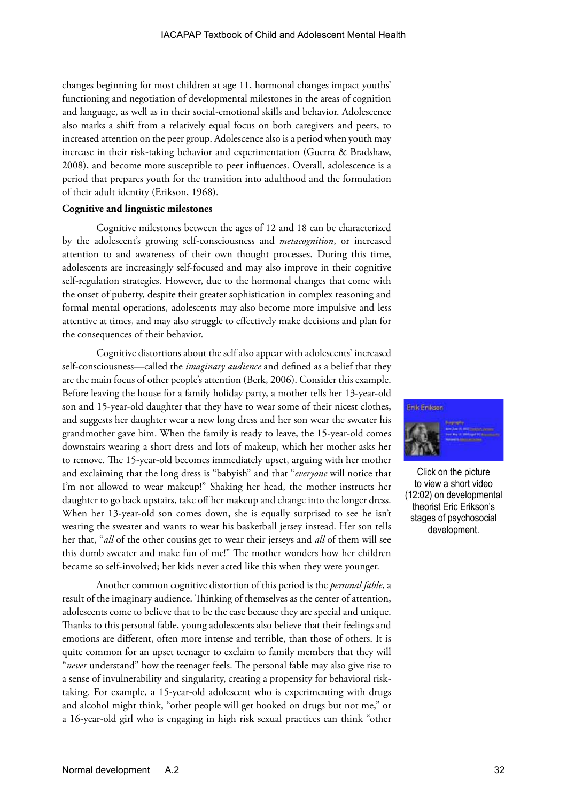changes beginning for most children at age 11, hormonal changes impact youths' functioning and negotiation of developmental milestones in the areas of cognition and language, as well as in their social-emotional skills and behavior. Adolescence also marks a shift from a relatively equal focus on both caregivers and peers, to increased attention on the peer group. Adolescence also is a period when youth may increase in their risk-taking behavior and experimentation (Guerra & Bradshaw, 2008), and become more susceptible to peer influences. Overall, adolescence is a period that prepares youth for the transition into adulthood and the formulation of their adult identity (Erikson, 1968).

#### **Cognitive and linguistic milestones**

Cognitive milestones between the ages of 12 and 18 can be characterized by the adolescent's growing self-consciousness and *metacognition*, or increased attention to and awareness of their own thought processes. During this time, adolescents are increasingly self-focused and may also improve in their cognitive self-regulation strategies. However, due to the hormonal changes that come with the onset of puberty, despite their greater sophistication in complex reasoning and formal mental operations, adolescents may also become more impulsive and less attentive at times, and may also struggle to effectively make decisions and plan for the consequences of their behavior.

Cognitive distortions about the self also appear with adolescents' increased self-consciousness—called the *imaginary audience* and defined as a belief that they are the main focus of other people's attention (Berk, 2006). Consider this example. Before leaving the house for a family holiday party, a mother tells her 13-year-old son and 15-year-old daughter that they have to wear some of their nicest clothes, and suggests her daughter wear a new long dress and her son wear the sweater his grandmother gave him. When the family is ready to leave, the 15-year-old comes downstairs wearing a short dress and lots of makeup, which her mother asks her to remove. The 15-year-old becomes immediately upset, arguing with her mother and exclaiming that the long dress is "babyish" and that "*everyone* will notice that I'm not allowed to wear makeup!" Shaking her head, the mother instructs her daughter to go back upstairs, take off her makeup and change into the longer dress. When her 13-year-old son comes down, she is equally surprised to see he isn't wearing the sweater and wants to wear his basketball jersey instead. Her son tells her that, "*all* of the other cousins get to wear their jerseys and *all* of them will see this dumb sweater and make fun of me!" The mother wonders how her children became so self-involved; her kids never acted like this when they were younger.

Another common cognitive distortion of this period is the *personal fable*, a result of the imaginary audience. Thinking of themselves as the center of attention, adolescents come to believe that to be the case because they are special and unique. Thanks to this personal fable, young adolescents also believe that their feelings and emotions are different, often more intense and terrible, than those of others. It is quite common for an upset teenager to exclaim to family members that they will "*never* understand" how the teenager feels. The personal fable may also give rise to a sense of invulnerability and singularity, creating a propensity for behavioral risktaking. For example, a 15-year-old adolescent who is experimenting with drugs and alcohol might think, "other people will get hooked on drugs but not me," or a 16-year-old girl who is engaging in high risk sexual practices can think "other



Click on the picture to view a short video (12:02) on developmental theorist Eric Erikson's stages of psychosocial development.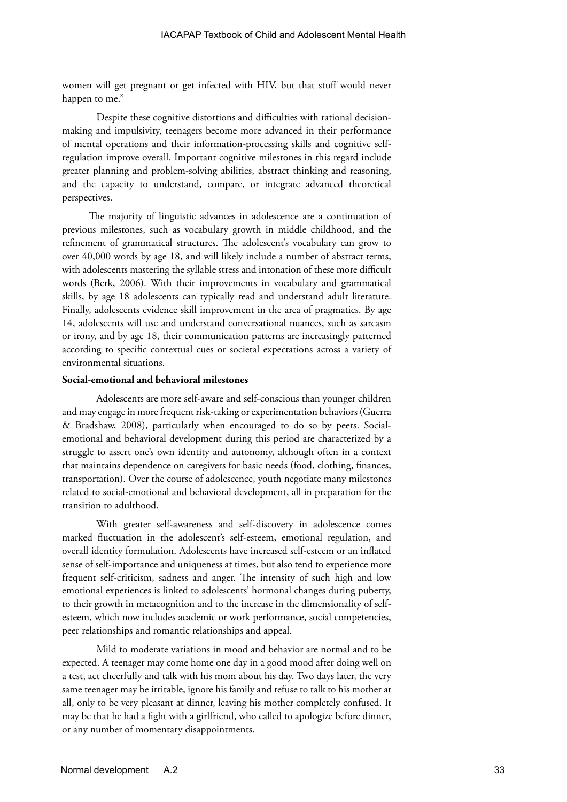women will get pregnant or get infected with HIV, but that stuff would never happen to me."

Despite these cognitive distortions and difficulties with rational decisionmaking and impulsivity, teenagers become more advanced in their performance of mental operations and their information-processing skills and cognitive selfregulation improve overall. Important cognitive milestones in this regard include greater planning and problem-solving abilities, abstract thinking and reasoning, and the capacity to understand, compare, or integrate advanced theoretical perspectives.

The majority of linguistic advances in adolescence are a continuation of previous milestones, such as vocabulary growth in middle childhood, and the refinement of grammatical structures. The adolescent's vocabulary can grow to over 40,000 words by age 18, and will likely include a number of abstract terms, with adolescents mastering the syllable stress and intonation of these more difficult words (Berk, 2006). With their improvements in vocabulary and grammatical skills, by age 18 adolescents can typically read and understand adult literature. Finally, adolescents evidence skill improvement in the area of pragmatics. By age 14, adolescents will use and understand conversational nuances, such as sarcasm or irony, and by age 18, their communication patterns are increasingly patterned according to specific contextual cues or societal expectations across a variety of environmental situations.

#### **Social-emotional and behavioral milestones**

Adolescents are more self-aware and self-conscious than younger children and may engage in more frequent risk-taking or experimentation behaviors (Guerra & Bradshaw, 2008), particularly when encouraged to do so by peers. Socialemotional and behavioral development during this period are characterized by a struggle to assert one's own identity and autonomy, although often in a context that maintains dependence on caregivers for basic needs (food, clothing, finances, transportation). Over the course of adolescence, youth negotiate many milestones related to social-emotional and behavioral development, all in preparation for the transition to adulthood.

With greater self-awareness and self-discovery in adolescence comes marked fluctuation in the adolescent's self-esteem, emotional regulation, and overall identity formulation. Adolescents have increased self-esteem or an inflated sense of self-importance and uniqueness at times, but also tend to experience more frequent self-criticism, sadness and anger. The intensity of such high and low emotional experiences is linked to adolescents' hormonal changes during puberty, to their growth in metacognition and to the increase in the dimensionality of selfesteem, which now includes academic or work performance, social competencies, peer relationships and romantic relationships and appeal.

Mild to moderate variations in mood and behavior are normal and to be expected. A teenager may come home one day in a good mood after doing well on a test, act cheerfully and talk with his mom about his day. Two days later, the very same teenager may be irritable, ignore his family and refuse to talk to his mother at all, only to be very pleasant at dinner, leaving his mother completely confused. It may be that he had a fight with a girlfriend, who called to apologize before dinner, or any number of momentary disappointments.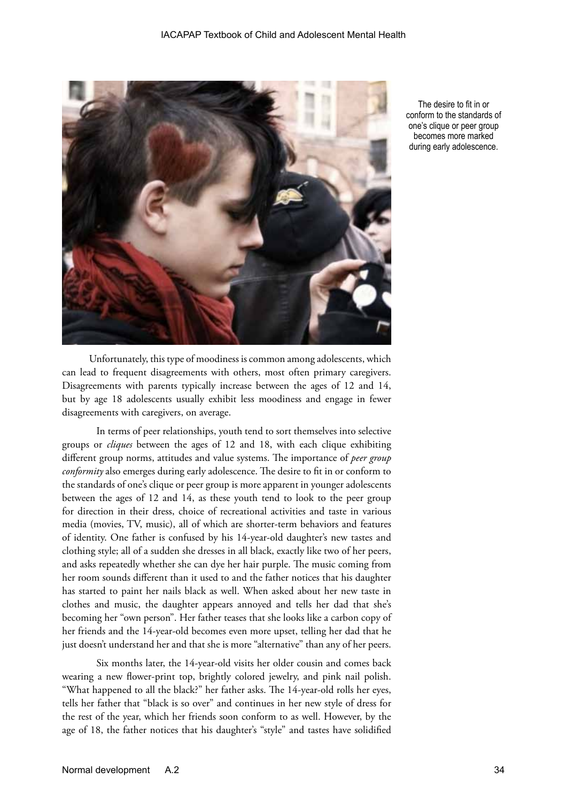

The desire to fit in or conform to the standards of one's clique or peer group becomes more marked during early adolescence.

Unfortunately, this type of moodiness is common among adolescents, which can lead to frequent disagreements with others, most often primary caregivers. Disagreements with parents typically increase between the ages of 12 and 14, but by age 18 adolescents usually exhibit less moodiness and engage in fewer disagreements with caregivers, on average.

In terms of peer relationships, youth tend to sort themselves into selective groups or *cliques* between the ages of 12 and 18, with each clique exhibiting different group norms, attitudes and value systems. The importance of *peer group conformity* also emerges during early adolescence. The desire to fit in or conform to the standards of one's clique or peer group is more apparent in younger adolescents between the ages of 12 and 14, as these youth tend to look to the peer group for direction in their dress, choice of recreational activities and taste in various media (movies, TV, music), all of which are shorter-term behaviors and features of identity. One father is confused by his 14-year-old daughter's new tastes and clothing style; all of a sudden she dresses in all black, exactly like two of her peers, and asks repeatedly whether she can dye her hair purple. The music coming from her room sounds different than it used to and the father notices that his daughter has started to paint her nails black as well. When asked about her new taste in clothes and music, the daughter appears annoyed and tells her dad that she's becoming her "own person". Her father teases that she looks like a carbon copy of her friends and the 14-year-old becomes even more upset, telling her dad that he just doesn't understand her and that she is more "alternative" than any of her peers.

Six months later, the 14-year-old visits her older cousin and comes back wearing a new flower-print top, brightly colored jewelry, and pink nail polish. "What happened to all the black?" her father asks. The 14-year-old rolls her eyes, tells her father that "black is so over" and continues in her new style of dress for the rest of the year, which her friends soon conform to as well. However, by the age of 18, the father notices that his daughter's "style" and tastes have solidified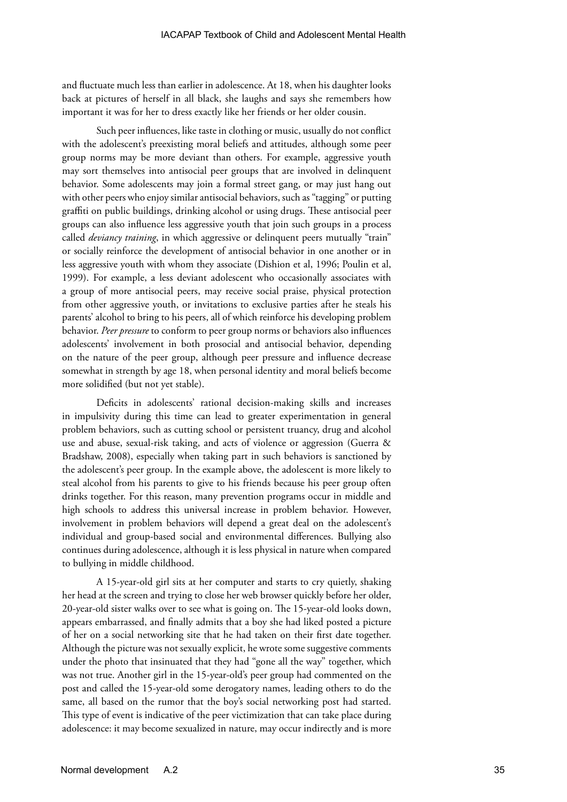and fluctuate much less than earlier in adolescence. At 18, when his daughter looks back at pictures of herself in all black, she laughs and says she remembers how important it was for her to dress exactly like her friends or her older cousin.

Such peer influences, like taste in clothing or music, usually do not conflict with the adolescent's preexisting moral beliefs and attitudes, although some peer group norms may be more deviant than others. For example, aggressive youth may sort themselves into antisocial peer groups that are involved in delinquent behavior. Some adolescents may join a formal street gang, or may just hang out with other peers who enjoy similar antisocial behaviors, such as "tagging" or putting graffiti on public buildings, drinking alcohol or using drugs. These antisocial peer groups can also influence less aggressive youth that join such groups in a process called *deviancy training*, in which aggressive or delinquent peers mutually "train" or socially reinforce the development of antisocial behavior in one another or in less aggressive youth with whom they associate (Dishion et al, 1996; Poulin et al, 1999). For example, a less deviant adolescent who occasionally associates with a group of more antisocial peers, may receive social praise, physical protection from other aggressive youth, or invitations to exclusive parties after he steals his parents' alcohol to bring to his peers, all of which reinforce his developing problem behavior. *Peer pressure* to conform to peer group norms or behaviors also influences adolescents' involvement in both prosocial and antisocial behavior, depending on the nature of the peer group, although peer pressure and influence decrease somewhat in strength by age 18, when personal identity and moral beliefs become more solidified (but not yet stable).

Deficits in adolescents' rational decision-making skills and increases in impulsivity during this time can lead to greater experimentation in general problem behaviors, such as cutting school or persistent truancy, drug and alcohol use and abuse, sexual-risk taking, and acts of violence or aggression (Guerra & Bradshaw, 2008), especially when taking part in such behaviors is sanctioned by the adolescent's peer group. In the example above, the adolescent is more likely to steal alcohol from his parents to give to his friends because his peer group often drinks together. For this reason, many prevention programs occur in middle and high schools to address this universal increase in problem behavior. However, involvement in problem behaviors will depend a great deal on the adolescent's individual and group-based social and environmental differences. Bullying also continues during adolescence, although it is less physical in nature when compared to bullying in middle childhood.

A 15-year-old girl sits at her computer and starts to cry quietly, shaking her head at the screen and trying to close her web browser quickly before her older, 20-year-old sister walks over to see what is going on. The 15-year-old looks down, appears embarrassed, and finally admits that a boy she had liked posted a picture of her on a social networking site that he had taken on their first date together. Although the picture was not sexually explicit, he wrote some suggestive comments under the photo that insinuated that they had "gone all the way" together, which was not true. Another girl in the 15-year-old's peer group had commented on the post and called the 15-year-old some derogatory names, leading others to do the same, all based on the rumor that the boy's social networking post had started. This type of event is indicative of the peer victimization that can take place during adolescence: it may become sexualized in nature, may occur indirectly and is more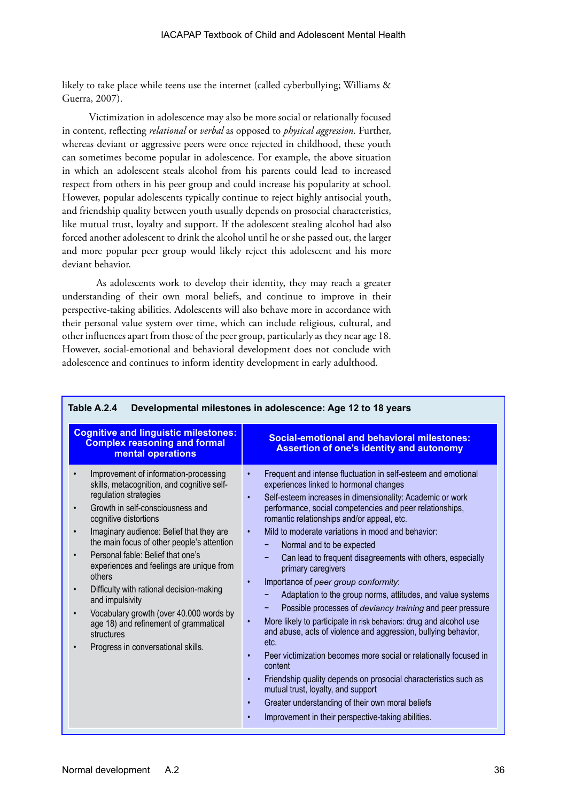likely to take place while teens use the internet (called cyberbullying; Williams & Guerra, 2007).

Victimization in adolescence may also be more social or relationally focused in content, reflecting *relational* or *verbal* as opposed to *physical aggression.* Further, whereas deviant or aggressive peers were once rejected in childhood, these youth can sometimes become popular in adolescence. For example, the above situation in which an adolescent steals alcohol from his parents could lead to increased respect from others in his peer group and could increase his popularity at school. However, popular adolescents typically continue to reject highly antisocial youth, and friendship quality between youth usually depends on prosocial characteristics, like mutual trust, loyalty and support. If the adolescent stealing alcohol had also forced another adolescent to drink the alcohol until he or she passed out, the larger and more popular peer group would likely reject this adolescent and his more deviant behavior.

As adolescents work to develop their identity, they may reach a greater understanding of their own moral beliefs, and continue to improve in their perspective-taking abilities. Adolescents will also behave more in accordance with their personal value system over time, which can include religious, cultural, and other influences apart from those of the peer group, particularly as they near age 18. However, social-emotional and behavioral development does not conclude with adolescence and continues to inform identity development in early adulthood.

| <b>Cognitive and linguistic milestones:</b><br><b>Complex reasoning and formal</b><br>mental operations                                                                                                                                                                                                                                                                                                                                                                                                                                                                                                      | <b>Social-emotional and behavioral milestones:</b><br><b>Assertion of one's identity and autonomy</b>                                                                                                                                                                                                                                                                                                                                                                                                                                                                                                                                                                                                                                                                                                                                                                                                                                                                                                                                                                                                                                                                                    |
|--------------------------------------------------------------------------------------------------------------------------------------------------------------------------------------------------------------------------------------------------------------------------------------------------------------------------------------------------------------------------------------------------------------------------------------------------------------------------------------------------------------------------------------------------------------------------------------------------------------|------------------------------------------------------------------------------------------------------------------------------------------------------------------------------------------------------------------------------------------------------------------------------------------------------------------------------------------------------------------------------------------------------------------------------------------------------------------------------------------------------------------------------------------------------------------------------------------------------------------------------------------------------------------------------------------------------------------------------------------------------------------------------------------------------------------------------------------------------------------------------------------------------------------------------------------------------------------------------------------------------------------------------------------------------------------------------------------------------------------------------------------------------------------------------------------|
| Improvement of information-processing<br>skills, metacognition, and cognitive self-<br>regulation strategies<br>Growth in self-consciousness and<br>$\bullet$<br>cognitive distortions<br>Imaginary audience: Belief that they are<br>the main focus of other people's attention<br>Personal fable: Belief that one's<br>experiences and feelings are unique from<br>others<br>Difficulty with rational decision-making<br>$\bullet$<br>and impulsivity<br>Vocabulary growth (over 40.000 words by<br>age 18) and refinement of grammatical<br>structures<br>Progress in conversational skills.<br>$\bullet$ | Frequent and intense fluctuation in self-esteem and emotional<br>$\bullet$<br>experiences linked to hormonal changes<br>Self-esteem increases in dimensionality: Academic or work<br>$\bullet$<br>performance, social competencies and peer relationships,<br>romantic relationships and/or appeal, etc.<br>Mild to moderate variations in mood and behavior:<br>$\bullet$<br>Normal and to be expected<br>-<br>Can lead to frequent disagreements with others, especially<br>primary caregivers<br>Importance of peer group conformity:<br>$\bullet$<br>Adaptation to the group norms, attitudes, and value systems<br>Possible processes of deviancy training and peer pressure<br>More likely to participate in risk behaviors: drug and alcohol use<br>$\bullet$<br>and abuse, acts of violence and aggression, bullying behavior,<br>etc.<br>Peer victimization becomes more social or relationally focused in<br>$\bullet$<br>content<br>Friendship quality depends on prosocial characteristics such as<br>$\bullet$<br>mutual trust, loyalty, and support<br>Greater understanding of their own moral beliefs<br>$\bullet$<br>Improvement in their perspective-taking abilities. |

#### **Table A.2.4 Developmental milestones in adolescence: Age 12 to 18 years**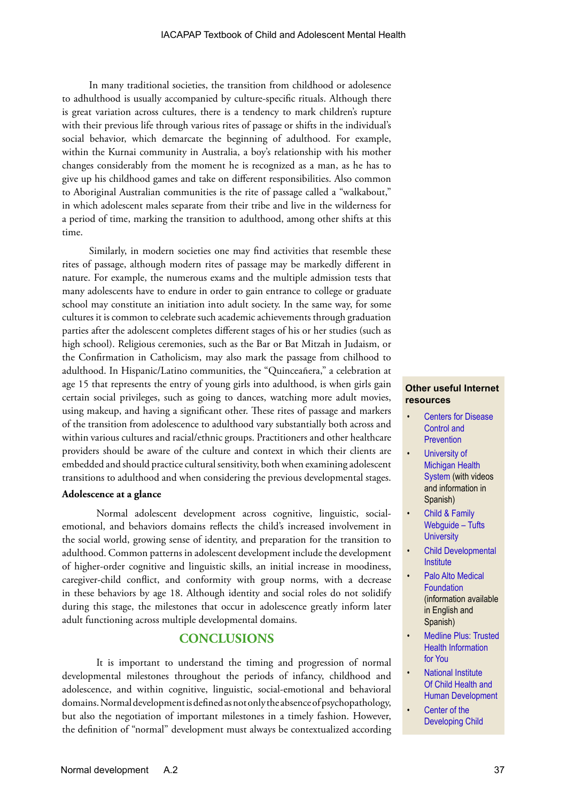In many traditional societies, the transition from childhood or adolesence to adhulthood is usually accompanied by culture-specific rituals. Although there is great variation across cultures, there is a tendency to mark children's rupture with their previous life through various rites of passage or shifts in the individual's social behavior, which demarcate the beginning of adulthood. For example, within the Kurnai community in Australia, a boy's relationship with his mother changes considerably from the moment he is recognized as a man, as he has to give up his childhood games and take on different responsibilities. Also common to Aboriginal Australian communities is the rite of passage called a "walkabout," in which adolescent males separate from their tribe and live in the wilderness for a period of time, marking the transition to adulthood, among other shifts at this time.

Similarly, in modern societies one may find activities that resemble these rites of passage, although modern rites of passage may be markedly different in nature. For example, the numerous exams and the multiple admission tests that many adolescents have to endure in order to gain entrance to college or graduate school may constitute an initiation into adult society. In the same way, for some cultures it is common to celebrate such academic achievements through graduation parties after the adolescent completes different stages of his or her studies (such as high school). Religious ceremonies, such as the Bar or Bat Mitzah in Judaism, or the Confirmation in Catholicism, may also mark the passage from chilhood to adulthood. In Hispanic/Latino communities, the "Quinceañera," a celebration at age 15 that represents the entry of young girls into adulthood, is when girls gain certain social privileges, such as going to dances, watching more adult movies, using makeup, and having a significant other. These rites of passage and markers of the transition from adolescence to adulthood vary substantially both across and within various cultures and racial/ethnic groups. Practitioners and other healthcare providers should be aware of the culture and context in which their clients are embedded and should practice cultural sensitivity, both when examining adolescent transitions to adulthood and when considering the previous developmental stages.

#### **Adolescence at a glance**

Normal adolescent development across cognitive, linguistic, socialemotional, and behaviors domains reflects the child's increased involvement in the social world, growing sense of identity, and preparation for the transition to adulthood. Common patterns in adolescent development include the development of higher-order cognitive and linguistic skills, an initial increase in moodiness, caregiver-child conflict, and conformity with group norms, with a decrease in these behaviors by age 18. Although identity and social roles do not solidify during this stage, the milestones that occur in adolescence greatly inform later adult functioning across multiple developmental domains.

## **CONCLUSIONS**

It is important to understand the timing and progression of normal developmental milestones throughout the periods of infancy, childhood and adolescence, and within cognitive, linguistic, social-emotional and behavioral domains. Normal development is defined as not only the absence of psychopathology, but also the negotiation of important milestones in a timely fashion. However, the definition of "normal" development must always be contextualized according

#### **Other useful Internet resources**

- [Centers for Disease](http://www.cdc.gov/ncbddd/childdevelopment/index.html)  [Control and](http://www.cdc.gov/ncbddd/childdevelopment/index.html)  **[Prevention](http://www.cdc.gov/ncbddd/childdevelopment/index.html)**
- University of [Michigan Health](http://www.med.umich.edu/yourchild/topics/devmile.htm)  [System](http://www.med.umich.edu/yourchild/topics/devmile.htm) (with videos and information in Spanish)
- [Child & Family](http://www.cfw.tufts.edu/)  [Webguide – Tufts](http://www.cfw.tufts.edu/)  **[University](http://www.cfw.tufts.edu/)**
- [Child Developmental](http://childdevelopmentinfo.com/)  **[Institute](http://childdevelopmentinfo.com/)**
- Palo Alto Medical [Foundation](http://www.pamf.org/children/common/development/) (information available in English and Spanish)
- [Medline Plus: Trusted](http://www.nlm.nih.gov/medlineplus/ency/article/002456.htm)  [Health Information](http://www.nlm.nih.gov/medlineplus/ency/article/002456.htm)  [for You](http://www.nlm.nih.gov/medlineplus/ency/article/002456.htm)
- [National Institute](http://www.nichd.nih.gov/)  [Of Child Health and](http://www.nichd.nih.gov/)  [Human Development](http://www.nichd.nih.gov/)
- Center of the [Developing Child](http://developingchild.harvard.edu/)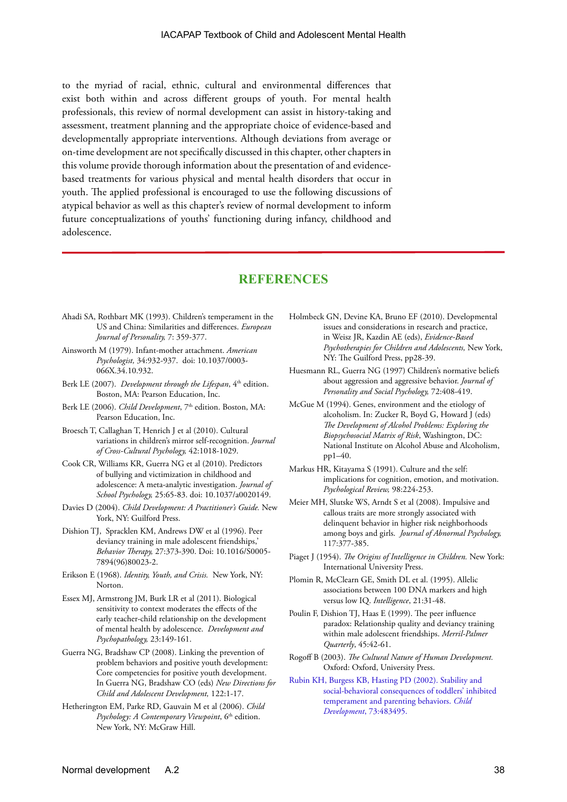to the myriad of racial, ethnic, cultural and environmental differences that exist both within and across different groups of youth. For mental health professionals, this review of normal development can assist in history-taking and assessment, treatment planning and the appropriate choice of evidence-based and developmentally appropriate interventions. Although deviations from average or on-time development are not specifically discussed in this chapter, other chapters in this volume provide thorough information about the presentation of and evidencebased treatments for various physical and mental health disorders that occur in youth. The applied professional is encouraged to use the following discussions of atypical behavior as well as this chapter's review of normal development to inform future conceptualizations of youths' functioning during infancy, childhood and adolescence.

## **REFERENCES**

- Ahadi SA, Rothbart MK (1993). Children's temperament in the US and China: Similarities and differences. *European Journal of Personality,* 7: 359-377.
- Ainsworth M (1979). Infant-mother attachment. *American Psychologist,* 34:932-937. doi: 10.1037/0003- 066X.34.10.932.
- Berk LE (2007). *Development through the Lifespan*, 4<sup>th</sup> edition. Boston, MA: Pearson Education, Inc.
- Berk LE (2006). *Child Development*, 7<sup>th</sup> edition. Boston, MA: Pearson Education, Inc.
- Broesch T, Callaghan T, Henrich J et al (2010). Cultural variations in children's mirror self-recognition. *Journal of Cross-Cultural Psychology,* 42:1018-1029.
- Cook CR, Williams KR, Guerra NG et al (2010). Predictors of bullying and victimization in childhood and adolescence: A meta-analytic investigation. *Journal of School Psychology,* 25:65-83. doi: 10.1037/a0020149.
- Davies D (2004). *Child Development: A Practitioner's Guide.* New York, NY: Guilford Press.
- Dishion TJ, Spracklen KM, Andrews DW et al (1996). Peer deviancy training in male adolescent friendships,' *Behavior Therapy,* 27:373-390. Doi: 10.1016/S0005- 7894(96)80023-2.
- Erikson E (1968). *Identity, Youth, and Crisis.* New York, NY: Norton.
- Essex MJ, Armstrong JM, Burk LR et al (2011). Biological sensitivity to context moderates the effects of the early teacher-child relationship on the development of mental health by adolescence. *Development and Psychopathology,* 23:149-161.
- Guerra NG, Bradshaw CP (2008). Linking the prevention of problem behaviors and positive youth development: Core competencies for positive youth development. In Guerra NG, Bradshaw CO (eds) *New Directions for Child and Adolescent Development,* 122:1-17.
- Hetherington EM, Parke RD, Gauvain M et al (2006). *Child*  Psychology: A Contemporary Viewpoint, 6<sup>th</sup> edition. New York, NY: McGraw Hill.
- Holmbeck GN, Devine KA, Bruno EF (2010). Developmental issues and considerations in research and practice, in Weisz JR, Kazdin AE (eds), *Evidence-Based Psychotherapies for Children and Adolescents,* New York, NY: The Guilford Press, pp28-39.
- Huesmann RL, Guerra NG (1997) Children's normative beliefs about aggression and aggressive behavior. *Journal of Personality and Social Psychology,* 72:408-419.
- McGue M (1994). Genes, environment and the etiology of alcoholism. In: Zucker R, Boyd G, Howard J (eds) *The Development of Alcohol Problems: Exploring the Biopsychosocial Matrix of Risk*, Washington, DC: National Institute on Alcohol Abuse and Alcoholism, pp1–40.
- Markus HR, Kitayama S (1991). Culture and the self: implications for cognition, emotion, and motivation. *Psychological Review,* 98:224-253.
- Meier MH, Slutske WS, Arndt S et al (2008). Impulsive and callous traits are more strongly associated with delinquent behavior in higher risk neighborhoods among boys and girls. *Journal of Abnormal Psychology,*  117:377-385.
- Piaget J (1954). *The Origins of Intelligence in Children.* New York: International University Press.
- Plomin R, McClearn GE, Smith DL et al. (1995). Allelic associations between 100 DNA markers and high versus low IQ. *Intelligence*, 21:31-48.
- Poulin F, Dishion TJ, Haas E (1999). The peer influence paradox: Relationship quality and deviancy training within male adolescent friendships. *Merril-Palmer Quarterly*, 45:42-61.
- Rogoff B (2003). *The Cultural Nature of Human Development.*  Oxford: Oxford, University Press.
- [Rubin KH, Burgess KB, Hasting PD \(2002\). Stability and](http://www.psychology.sunysb.edu/ewaters/552-04/slide%20sets/lea_dougherty/Rubin_parenting_temperament.pdf)  [social-behavioral consequences of toddlers' inhibited](http://www.psychology.sunysb.edu/ewaters/552-04/slide%20sets/lea_dougherty/Rubin_parenting_temperament.pdf)  [temperament and parenting behaviors.](http://www.psychology.sunysb.edu/ewaters/552-04/slide%20sets/lea_dougherty/Rubin_parenting_temperament.pdf) *Child Development*[, 73:483495.](http://www.psychology.sunysb.edu/ewaters/552-04/slide%20sets/lea_dougherty/Rubin_parenting_temperament.pdf)